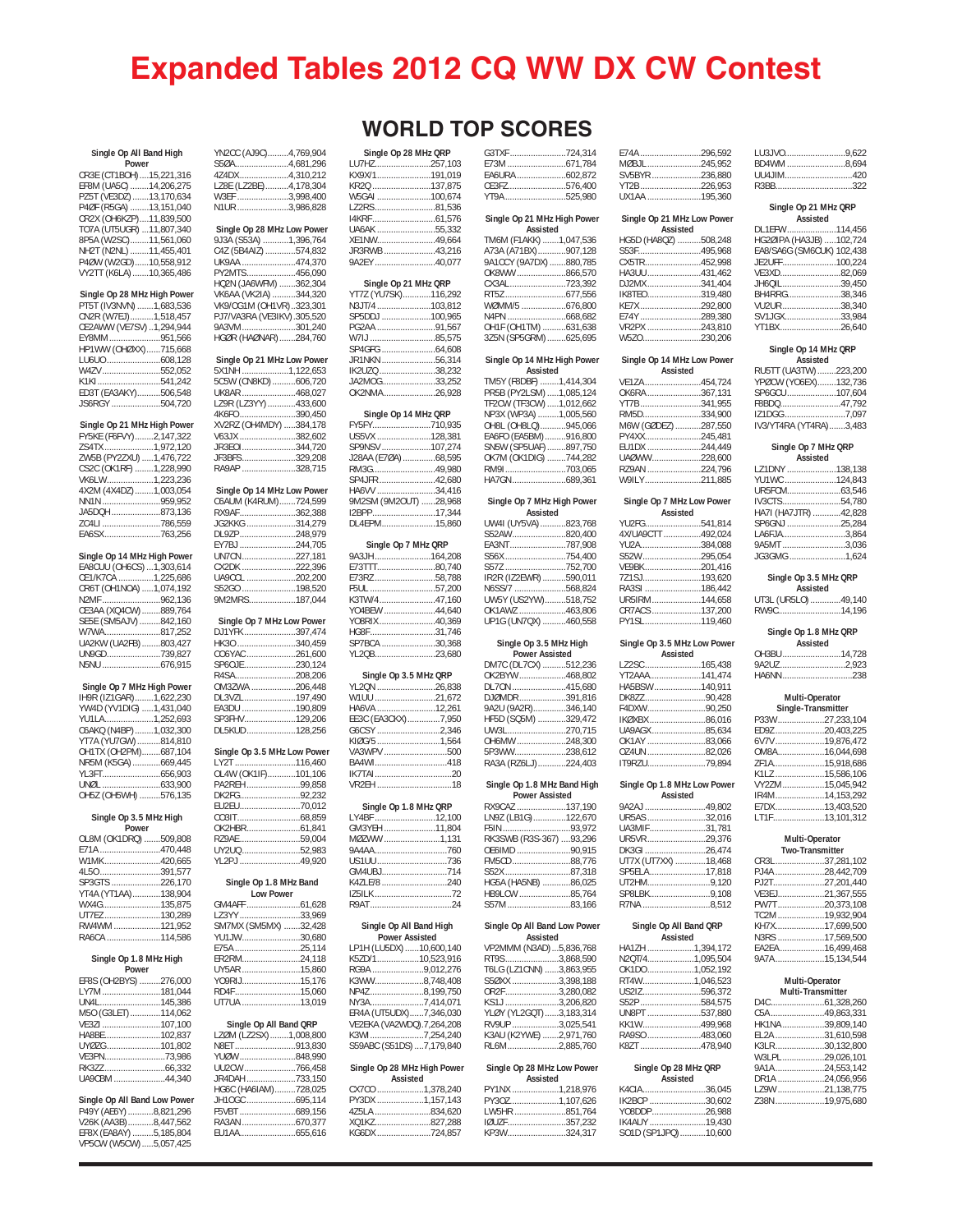# **Expanded Tables 2012 CQ WW DX CW Contest**

| Single Op All Band High     |
|-----------------------------|
| Power                       |
| CR3E (CT1BOH)15,221,316     |
| EF8M (UA5C) 14,206,275      |
| PZ5T (VE3DZ) 13,170,634     |
| P4ØF (R5GA) 13,151,040      |
| CR2X (OH6KZP)11,839,500     |
| TO7A (UT5UGR) 11,807,340    |
| 8P5A (W2SC)11,561,060       |
| NH2T (N2NL) 11,455,401      |
| P4ØW (W2GD)10,558,912       |
| VY2TT (K6LA) 10,365,486     |
| Single Op 28 MHz High Power |

| <b>JULIE OF ZO IVILLE LIIGHT FUWCH</b> |
|----------------------------------------|
| PT5T (IV3NVN) 1,683,536                |
| CN2R (W7EJ)1,518,457                   |
| CE2AWW (VE7SV)1,294,944                |
| EY8MM951.566                           |
| HP1WW (OHØXX)715,668                   |
| LU6U0 608.128                          |
| W4ZV552.052                            |
| K1KI541.242                            |
| ED3T (EA3AKY)506,548                   |
| JS6RGY 504,720                         |

| Single Op 21 MHz High Power |
|-----------------------------|
| FY5KE (F6FVY)2,147,322      |
| ZS4TX 1.972.120             |
| ZW5B (PY2ZXU) 1,476,722     |
| CS2C (OK1RF) 1,228,990      |
| VK6LW1,223,236              |
| 4X2M (4X4DZ) 1,003,054      |
| NN1N959,952                 |
| JA5DQH 873.136              |
| ZC4LI 786,559               |
| EA6SX763,256                |

| Single Op 14 MHz High Power |
|-----------------------------|
| EA8CUU (OH6CS)  1,303,614   |
| CE1/K7CA 1,225,686          |
| CR6T (OH1NOA) 1,074,192     |
| N2MF 962.136                |
| CE3AA (XQ4CW) 889,764       |
| SE5E (SM5AJV) 842,160       |
| W7WA817.252                 |
| UA2KW (UA2FB) 803,427       |
| UN9GD739.827                |
| N5NU 676,915                |

| Single Op 7 MHz High Power |
|----------------------------|
| IH9R (IZ1GAR)1,622,230     |
| YW4D (YV1DIG) 1,431,040    |
| YU1LA1,252,693             |
| C6AKQ (N4BP)1,032,300      |
| YT7A (YU7GW) 814,810       |
| OH1TX (OH2PM)687,104       |
| NR5M (K5GA)669,445         |
|                            |
|                            |
| OH5Z (OH5WH) 576,135       |

#### **Single Op 3.5 MHz High**

| $SII$ is the contract of $SII$ in the state of $SII$ |  |
|------------------------------------------------------|--|
| Power                                                |  |
| OL8M (OK1DRQ) 509,808                                |  |
| E71A 470.448                                         |  |
| W1MK420.665                                          |  |
| 4L50391.577                                          |  |
| SP3GTS 226.170                                       |  |
| YT4A (YT1AA)138.904                                  |  |
| WX4G135.875                                          |  |
| UT7EZ130.289                                         |  |
| RW4WM121.952                                         |  |
| RA6CA 114.586                                        |  |

## **Single Op 1.8 MHz High Power**

| EF8S (OH2BYS) 276,000 |  |
|-----------------------|--|
| LY7M 181,044          |  |
| UN4L145.386           |  |
| M50 (G3LET)114.062    |  |
| VE3ZI 107.100         |  |
|                       |  |
| UYØZG101.802          |  |
| VE3PN73.986           |  |
|                       |  |
| UA9CBM 44.340         |  |

## **Single Op All Band Low Power** P49Y (AE6Y)...........8,821,296 V26K (AA3B)...........8,447,562 EF8X (EA8AY) .........5,185,804 VP5CW (W5CW).....5,057,425

| YN2CC (AJ9C)4,769,904                                 |                        |
|-------------------------------------------------------|------------------------|
| S50A4,681,296                                         | LU                     |
| 4Z4DX4,310,212<br>LZ8E (LZ2BE)4,178,304               | KX <sup></sup>         |
|                                                       | KR                     |
| W3EF 3,998,400<br>N1UR3,986,828                       | W5<br>LZ:              |
|                                                       | 14K                    |
| Single Op 28 MHz Low Power                            | UA                     |
| 9J3A (S53A) 1,396,764                                 | XE.                    |
| C4Z (5B4AIZ) 574,832                                  | JR:                    |
| UK9AA 474,370                                         | 9A:                    |
| PY2MTS456,090<br>HQ2N (JA6WFM) 362,304                |                        |
| VK6AA (VK2IA) 344,320                                 | YT:                    |
|                                                       | N3                     |
| VK9/OG1M (OH1VR)323,301<br>PJ7/VA3RA (VE3IKV).305,520 | SP.                    |
| 9A3VM301,240                                          | PG                     |
| HGØR (HAØNAR)284,760                                  | W7                     |
| Single Op 21 MHz Low Power                            | SP.<br>JR <sup>.</sup> |
| 5X1NH1,122,653                                        | IK <sub>2</sub>        |
| 5C5W (CN8KD) 606,720                                  | JA.                    |
| UK8AR 468,027                                         | OK                     |
| LZ9R (LZ3YY) 433,600                                  |                        |
| 4K6FO 390,450                                         | FY!                    |
| XV2RZ (OH4MDY) 384,178<br>V63JX 382,602               | US                     |
| JR3EOI344,720                                         | <b>SP</b>              |
| JF3BFS329,208                                         | J28                    |
| RA9AP 328,715                                         | <b>RM</b>              |
|                                                       | SP                     |
| Single Op 14 MHz Low Power                            | HA                     |
| C6AUM (K4RUM)724,599<br>RX9AF362,388                  | 9M<br>12E              |
| JG2KKG 314,279                                        | DL                     |
| DL9ZP248,979<br>EY7BJ244,705                          |                        |
|                                                       |                        |
| UN7CN227,181<br>CX2DK 222,396                         | 9A:<br>E7:             |
| UA9CCL 202,200                                        | E7:                    |
| S52GO 198,520                                         | F <sub>5</sub>         |
| 9M2MRS187,044                                         | K3                     |
|                                                       | Y0                     |
| Single Op 7 MHz Low Power                             | Y <sub>0</sub><br>HG   |
| DJ1YFK397,474<br>HK3O340,459                          | SP                     |
| CO6YAC 261,600                                        | YL:                    |
| SP6OJE230,124                                         |                        |
|                                                       | YL:                    |
| OM3ZWA 206,448<br>DL3VZL197,490                       | W1                     |
| EA3DU 190,809                                         | HA                     |
| SP3FHV129,206                                         | EE:                    |
| DL5KUD128,256                                         | G6                     |
| Single Op 3.5 MHz Low Power                           | KIQ<br>VA              |
|                                                       | BA                     |
| LY2T 116,460<br>OL4W (OK1IF)101,106                   | IK7                    |
| PA2REH 99,858                                         | VR                     |
| DK2FG92,232<br>EU2EU70,012                            |                        |
|                                                       |                        |
|                                                       | LY <sub></sub><br>GN   |
|                                                       |                        |
| OK2HBR61,841                                          |                        |
| RZ9AE 59,004                                          | MØ<br>9A               |
| UY2UQ 52,983<br>YL2PJ 49,920                          | US                     |
|                                                       | GM                     |
| Single Op 1.8 MHz Band                                | K4.                    |
| Low Power                                             | IZ <sub>5</sub><br>R9. |
| GM4AFF 61,628<br>LZ3YY 33,969                         |                        |
| SM7MX (SM5MX) 32,428                                  |                        |
| YU1JW30,680                                           |                        |
| E75A 25.114                                           | Γb.<br>K5.             |
| ER2RM24,118<br>UY5AR 15,860                           | RG                     |
| YO9RIJ15,176                                          | K3)                    |
| RD4F15,060<br>UT7UA 13,019                            | <b>NP</b><br>NΥ        |

| Single Op All Band QRP |  |
|------------------------|--|
|                        |  |
| LZØM (LZ2SX)1,008,800  |  |
| N8ET 913.830           |  |
| YUØW 848,990           |  |
| UU2CW 766.458          |  |
| JR4DAH 733,150         |  |
| HG6C (HA6IAM)728,025   |  |
| JH1OGC 695,114         |  |
|                        |  |
| RA3AN 670.377          |  |
| EU1AA655.616           |  |
|                        |  |

## **WORLD TOP SCORES**

| Single Op 28 MHz QRP                  | G3                   |
|---------------------------------------|----------------------|
| LU7HZ257,103                          | E7                   |
| KX9X/1191,019<br>KR2Q 137,875         | EA<br>CE             |
| W5GAI 100,674                         | YT                   |
| LZ2RS81,536                           |                      |
|                                       | Si                   |
| UA6AK 55.332                          |                      |
| XE1NW49,664                           | ΤN                   |
| JR3RWB 43,216                         | Α7                   |
| 9A2EY 40,077                          | 9Α                   |
|                                       | OK                   |
| Single Op 21 MHz QRP                  | CХ<br><b>RT</b>      |
| YT7Z (YU7SK)116,292<br>N3JT/4 103,812 | W.                   |
| SP5DDJ 100,965                        | N4                   |
| PG2AA 91,567                          | Oŀ                   |
| W7IJ 85,575                           | 3Z                   |
|                                       |                      |
| JR1NKN 56,314                         | Si                   |
| IK2UZQ 38,232                         |                      |
| JA2MOG33,252                          | TN                   |
| OK2NMA26,928                          | PR                   |
|                                       | TF.                  |
| Single Op 14 MHz QRP                  | NF<br>OF             |
| FY5FY710,935<br>US5VX 128,381         | EA                   |
| SP9NSV 107,274                        | S٨                   |
| J28AA (E7ØA) 68,595                   | OK                   |
| RM3G49,980                            | RN                   |
| SP4JFR42,680                          | HΑ                   |
| HA6VV 34,416                          |                      |
| 9M2SM (9M2OUT) 28,968                 | S                    |
| I2BPP17,344                           |                      |
| DL4EPM15.860                          | UV                   |
|                                       | S <sub>5</sub>       |
| Single Op 7 MHz QRP                   | EA                   |
| 9A3JH164,208                          | S5<br>S <sub>5</sub> |
| E73TTT80,740<br>E73RZ 58,788          | IR.                  |
| F5UL 57,200                           | N <sub>6</sub>       |
| K3TW/447,160                          | UV                   |
| YO4BEW 44,640                         | OK                   |
| YO8RIX 40,369                         | UF                   |
| HG8F31,746                            |                      |
| SP7BCA 30,368                         |                      |
| YL2QB23,680                           |                      |
|                                       | D٨                   |
| Single Op 3.5 MHz QRP                 | ОК                   |
| YL2QN 26,838<br>W1UU 21,672           | DL<br>DJ             |
| HA6VA 12,261                          | 9Α                   |
| EE3C (EA3CKX)7,950                    | HF                   |
|                                       | UV                   |
| G6CSY 2,346<br>KIØG/5 1,564           | Oŀ                   |
| VA3WPV 500                            | <b>5P</b>            |
| BA4WI418                              | RA                   |
|                                       |                      |
| VR2EH 18                              | Si                   |
| Single Op 1.8 MHz QRP                 | RX                   |
| LY4BF 12,100                          | LN                   |
|                                       | F5                   |
| GM3YEH 11,804<br>MØZWW 1,131          | RK                   |
| 9A4AA760                              | OE                   |
| US1UU736                              | FN                   |
| GM4UBJ714                             | S5                   |
| K4ZLE/8 240                           | HG                   |
|                                       | HB                   |
|                                       | S5                   |
| Single Op All Band High               | Siı                  |
| <b>Power Assisted</b>                 |                      |
| LP1H (LU5DX) 10,600,140               | VP                   |
| K5ZD/110,523,916                      | <b>RT</b>            |
| RG9A 9,012,276                        | T6                   |
| K3WW8,748,408                         | S5                   |
| NP4Z8,199,750                         | OR                   |
|                                       | ΚS                   |
| ER4A (UT5UDX)7,346,030                | YL                   |
| VE2EKA (VA2WDQ).7,264,208             | R٧                   |
| K3WI7,254,240                         | K <sub>3</sub>       |
| S59ABC (S51DS)  7,179,840             | RL                   |
| Single Op 28 MHz High Power           | Si                   |
| Assisted                              |                      |
| CX7CO 1,378,240<br>PY3DX 1,157,143    | PY                   |
|                                       |                      |
|                                       | PY                   |
| 4Z5LA 834,620                         | LV                   |
| XQ1KZ827,288<br>KG6DX 724,857         | IØI<br>KP            |

|                          | G3TXF 724,314                          |  |
|--------------------------|----------------------------------------|--|
| 3                        | E73M 671,784                           |  |
| ヲ                        |                                        |  |
| 5                        | CE3FZ576,400                           |  |
|                          |                                        |  |
| 4                        | YT9A525,980                            |  |
| 5                        |                                        |  |
| 5                        | Single Op 21 MHz High Power            |  |
| $\overline{a}$           | Assisted                               |  |
| 4                        | TM6M (F1AKK) 1,047,536                 |  |
| 5                        | A73A (A71BX)907,128                    |  |
| 7                        | 9A1CCY (9A7DX) 880,785                 |  |
|                          | OK8WW 866,570                          |  |
|                          | CX3AL723,392                           |  |
|                          |                                        |  |
| $\frac{2}{2}$            |                                        |  |
|                          | WØMM/5 676,800                         |  |
|                          | N4PN 668,682                           |  |
|                          | OH1F (OH1TM) 631,638                   |  |
| $\frac{7}{5}$            | 3Z5N (SP5GRM) 625,695                  |  |
|                          |                                        |  |
| 4                        | Single Op 14 MHz High Power            |  |
| $\overline{2}$           | Assisted                               |  |
| $\overline{2}$           | TM5Y (F8DBF) 1,414,304                 |  |
| 3                        | PR5B (PY2LSM) 1,085,124                |  |
|                          |                                        |  |
|                          | TF2CW (TF3CW) 1,012,662                |  |
|                          | NP3X (WP3A) 1,005,560                  |  |
| 5                        | OH8L (OH8LQ)945,066                    |  |
| 1                        | EA6FO (EA5BM) 916,800                  |  |
| 4                        | SN5W (SP5UAF) 897,750                  |  |
| 5                        | OK7M (OK1DIG) 744,282                  |  |
| J                        | RM9I703,065                            |  |
| J                        |                                        |  |
|                          |                                        |  |
| $\mathbf{c}$             |                                        |  |
| 3                        | Single Op 7 MHz High Power             |  |
| 4                        | Assisted                               |  |
| )                        | UW4I (UY5VA)823,768                    |  |
|                          | S52AW820,400                           |  |
|                          | EA3NT787,908                           |  |
| 3                        | S56X754,400                            |  |
|                          |                                        |  |
| J                        | S57Z 752,700                           |  |
| 3                        | IR2R (IZ2EWR) 590,011                  |  |
| $\mathfrak{g}$           | N6SS/7 568,824                         |  |
| J                        | UW5Y (US2YW)518,752                    |  |
| J                        | OK1AWZ 463,806                         |  |
| ∍                        | UP1G (UN7QX) 460,558                   |  |
|                          |                                        |  |
| 5<br>3                   | Single Op 3.5 MHz High                 |  |
| J                        |                                        |  |
|                          | <b>Power Assisted</b>                  |  |
|                          | DM7C (DL7CX) 512,236                   |  |
|                          |                                        |  |
|                          | OK2BYW 468,802                         |  |
| 3                        | DL70N 415,680                          |  |
| $\overline{2}$           |                                        |  |
|                          | DJØMDR391,816                          |  |
| 1                        | 9A2U (9A2R)346,140                     |  |
| J                        | HF5D (SQ5M) 329,472                    |  |
| 5                        | UW3L270,715                            |  |
| 4                        | OH6MW 248,300                          |  |
| $\mathfrak{g}$           | 5P3WW238,612                           |  |
|                          | RA3A (RZ6LJ) 224,403                   |  |
|                          |                                        |  |
| 3<br>$\mathfrak{g}$<br>3 | Single Op 1.8 MHz Band High            |  |
|                          | <b>Power Assisted</b>                  |  |
|                          |                                        |  |
|                          | RX9CAZ 137,190                         |  |
| J                        | LN9Z (LB1G) 122,670                    |  |
| 4                        |                                        |  |
| l                        | F5IN 93,972<br>RK3SWB (R3S-367) 93,296 |  |
| J                        | OE6IMD 90,915                          |  |
| 5                        | FM5CD88,776                            |  |
| 4                        | S52X87,318                             |  |
| $\mathfrak{p}$           | HG5A (HA5NB) 86,025                    |  |
| $\overline{ }$           |                                        |  |
| 4                        | HB9LCW 85,764                          |  |
|                          | S57M83,166                             |  |
|                          |                                        |  |
|                          | Single Op All Band Low Power           |  |
|                          | Assisted                               |  |
| J                        | VP2MMM (N3AD)  5,836,768               |  |
| 5                        | RT9S3,868,590                          |  |
| 5                        | T6LG (LZ1CNN) 3,863,955                |  |
| 3                        | S50XX 3,398,188                        |  |
| J                        | OR2F3,280,082                          |  |
| 1                        | KS1J 3,206,820                         |  |
|                          |                                        |  |
| $\mathfrak{z}$           | YLØY (YL2GQT)3,183,314                 |  |
| 3                        | RV9UP 3,025,541                        |  |
| $\overline{)}$           | K3AU (K2YWE) 2,971,760                 |  |
|                          | RL6M2,885,760                          |  |
|                          |                                        |  |
|                          | Single Op 28 MHz Low Power             |  |
| J<br>er                  | Assisted                               |  |
| J                        |                                        |  |
| 3                        | PY1NX 1,218,976                        |  |
|                          | PY30Z1,107,626                         |  |
| $\mathfrak{I}$           | LW5HR 851,764                          |  |
| 3<br>7                   | IØUZF357,232<br>KP3W324.317            |  |

|                       | 724,314                          | E74A 296,592                           |  |
|-----------------------|----------------------------------|----------------------------------------|--|
|                       |                                  | MØBJL245,952                           |  |
|                       | $\ldots$ 602,872                 | SV5BYR 236,880                         |  |
|                       | 576,400                          | YT2B226,953                            |  |
|                       | 525,980                          | UX1AA 195,360                          |  |
|                       | Op 21 MHz High Power             | Single Op 21 MHz Low Power             |  |
| Assisted              |                                  | Assisted                               |  |
|                       | F1AKK) 1,047,536                 | HG5D (HA8QZ) 508,248                   |  |
|                       |                                  | S53F495,968                            |  |
|                       | .71BX) 907,128<br>(9A7DX)880,785 | CX5TR452,998                           |  |
|                       | $1$ 866,570                      | HA3UU 431,462                          |  |
|                       | 723,392                          | DJ2MX341,404                           |  |
|                       | 677,556                          | IK8TEO319,480                          |  |
|                       |                                  | KE7X292,800                            |  |
|                       |                                  | E74Y 289,380                           |  |
|                       | H1TM) 631,638                    | VR2PX 243,810                          |  |
|                       | P5GRM) 625,695                   | W5ZO230,206                            |  |
|                       |                                  |                                        |  |
| Assisted              | Op 14 MHz High Power             | Single Op 14 MHz Low Power<br>Assisted |  |
|                       | 8DBF) 1,414,304                  | VE1ZA 454,724                          |  |
|                       | Y2LSM) 1,085,124                 | OK6RA 367,131                          |  |
|                       | (TF3CW) 1,012,662                | YT7B341,955                            |  |
|                       | 1,005,560<br>VP3A) 1,005,560     | RM5D334,900                            |  |
|                       | H8LQ)945,066                     | M6W (GØDEZ) 287,550                    |  |
|                       | EA5BM)916,800                    | PY4XX245,481                           |  |
|                       | SP5UAF) 897,750                  | EU1DX 244,449                          |  |
|                       | OK1DIG) 744,282                  | UAØWW228,600                           |  |
|                       |                                  |                                        |  |
|                       |                                  | RZ9AN 224,796                          |  |
|                       |                                  | W9ILY211,885                           |  |
|                       | Op 7 MHz High Power              | Single Op 7 MHz Low Power              |  |
| Assisted              |                                  | Assisted                               |  |
|                       | JY5VA)823,768                    | YU2FG541,814                           |  |
|                       | 820,400                          | 4X/UA9CTT 492,024                      |  |
|                       |                                  | YU2A384,088                            |  |
|                       | 754,400                          | S52W295,054                            |  |
|                       | 752,700                          | VE9BK201,416                           |  |
|                       | ZEWR) 590,011                    | 7Z1SJ193,620                           |  |
|                       | 568,824                          | RA3SI 186,442                          |  |
|                       | US2YW)518,752                    | UR5IRM144,658                          |  |
|                       |                                  | CR7ACS 137,200                         |  |
|                       |                                  |                                        |  |
| Z 463,806             | JN7QX) 460,558                   | PY1SL119,460                           |  |
|                       |                                  |                                        |  |
| le Op 3.5 MHz High    |                                  | Single Op 3.5 MHz Low Powe             |  |
| <b>Power Assisted</b> |                                  | Assisted                               |  |
|                       | DL7CX) 512,236                   | LZ2SC 165,438                          |  |
|                       | V468,802                         | YT2AAA141,474                          |  |
|                       | 415,680                          | HA5BSW 140,911                         |  |
|                       | R391,816                         | DK8ZZ90,428                            |  |
|                       | A2R)346,140                      | F4DXW90,250                            |  |
|                       | O5M) 329,472                     | IKØXBX 86,016                          |  |
|                       | 270,715                          | UA9AGX 85,634                          |  |
|                       |                                  | OK1AY 83,066                           |  |
|                       |                                  | OZ4UN 82,026                           |  |
|                       | 2Z6LJ)224,403                    | IT9RZU79,894                           |  |
|                       | Op 1.8 MHz Band High             | Single Op 1.8 MHz Low Powe             |  |
| <b>Power Assisted</b> |                                  | Assisted                               |  |
|                       |                                  | 9A2AJ 49,802                           |  |
|                       | B1G)122,670                      | UR5AS 32,016                           |  |
|                       | 93,972                           | UA3MIF31,781                           |  |
|                       | B (R3S-367) 93,296               | UR5VR29,376                            |  |
|                       |                                  | DK3GI 26,474                           |  |
|                       | 88,776                           | UT7X (UT7XX) 18,468                    |  |
|                       | 87,318                           | SP5ELA17,818                           |  |
|                       | HA5NB) 86,025                    | UT2HM9,120                             |  |
|                       | V 85,764                         | SP8LBK9,108                            |  |
|                       | 83,166                           | R7NA 8,512                             |  |
|                       | Op All Band Low Power            | Single Op All Band QRP                 |  |
| Assisted              |                                  | Assisted                               |  |
|                       | M (N3AD)5,836,768                | HA1ZH 1,394,172                        |  |
|                       | 3,868,590                        | N2QT/41,095,504                        |  |
|                       | Z1CNN) 3,863,955                 | OK1DO 1,052,192                        |  |
|                       | 3,398,188                        | RT4W1,046,523                          |  |
|                       | 3,280,082                        | US2IZ596.372                           |  |
|                       | 3,206,820                        | S52P584,575                            |  |
|                       | <br>'L2GQT) 3,183,314            | UN8PT 537,880                          |  |
|                       | 3,025,541                        | KK1W499.968                            |  |
|                       | (2YWE) 2,971,760<br>2,885,760    | RA9SO 483,060<br>K8ZT 478,940          |  |

#### **Single Op 28 MHz Low Power**

| Assisted        |  |  |
|-----------------|--|--|
| PY1NX 1.218.976 |  |  |
| PY3OZ1.107.626  |  |  |
| LW5HR 851.764   |  |  |
| IØUZF 357.232   |  |  |
| KP3W324.317     |  |  |
|                 |  |  |

| Single Op 21 MHz Low Power<br>Assisted        |  |
|-----------------------------------------------|--|
| HG5D (HA8QZ) 508,248                          |  |
| S53F495,968                                   |  |
| CX5TR452,998                                  |  |
| HA3UU431,462                                  |  |
| DJ2MX341,404                                  |  |
| IK8TEO319,480                                 |  |
| KE7X292,800                                   |  |
| E74Y 289,380                                  |  |
| VR2PX 243,810                                 |  |
| W5ZO230.206                                   |  |
| Single Op 14 MHz Low Power<br><b>Assisted</b> |  |
| VE1ZA 454,724                                 |  |
| OK6RA 367,131                                 |  |
| YT7B341,955                                   |  |
| RM5D334,900                                   |  |
| M6W (GØDEZ) 287,550                           |  |
| PY4XX245,481                                  |  |
| EU1DX 244,449                                 |  |
| UAØWW228,600                                  |  |
| RZ9AN 224,796                                 |  |
| W9ILY211.885                                  |  |
| Single Op 7 MHz Low Power<br><b>Assisted</b>  |  |
|                                               |  |

| YU2FG541.814      |  |
|-------------------|--|
| 4X/UA9CTT 492.024 |  |
| YU2A384.088       |  |
| S52W295.054       |  |
| VE9BK201.416      |  |
| 7Z1SJ193.620      |  |
| RA3SI 186.442     |  |
| UR5IRM 144.658    |  |
| CR7ACS137.200     |  |
| PY1SL119.460      |  |
|                   |  |

#### **Low Power**

| <b>ASSISTED</b> |  |  |
|-----------------|--|--|
| LZ2SC165,438    |  |  |
| YT2AAA141.474   |  |  |
| HA5BSW140.911   |  |  |
| DK8ZZ90.428     |  |  |
| F4DXW90.250     |  |  |
| IKØXBX 86.016   |  |  |
| UA9AGX 85.634   |  |  |
| OK1AY 83.066    |  |  |
| OZ4UN 82.026    |  |  |
| IT9RZU79.894    |  |  |
|                 |  |  |

#### Low Power

| Assisted            |  |  |
|---------------------|--|--|
| 9A2AJ 49,802        |  |  |
| UR5AS 32.016        |  |  |
| UA3MIF31.781        |  |  |
| UR5VR29,376         |  |  |
| DK3GI 26.474        |  |  |
| UT7X (UT7XX) 18,468 |  |  |
| SP5ELA17.818        |  |  |
| UT2HM9.120          |  |  |
| SP8LBK9.108         |  |  |
| $R7N\Delta$ $R512$  |  |  |

#### **nd ORP**

| Assisted        |  |  |
|-----------------|--|--|
| HA1ZH 1.394.172 |  |  |
| N2QT/41,095,504 |  |  |
| OK1DO1.052.192  |  |  |
| RT4W1.046.523   |  |  |
| US2IZ596.372    |  |  |
| S52P 584.575    |  |  |
| UN8PT 537.880   |  |  |
| KK1W499.968     |  |  |
| RA9SO 483.060   |  |  |
| K8ZT 478.940    |  |  |
|                 |  |  |

#### **Single Op 28 MHz QRP**

| Assisted            |  |
|---------------------|--|
| K4CIA36.045         |  |
| IK2BCP 30.602       |  |
| YO8DDP26.988        |  |
| IK4AUY 19.430       |  |
| SO1D (SP1JPQ)10,600 |  |

| LU3JVO9.622 |  |
|-------------|--|
| BD4WM 8.694 |  |
| UU4JIM420   |  |
| R3BB322     |  |

## **Single Op 21 MHz QRP Assisted**

| DL1EFW114.456             |  |
|---------------------------|--|
| HG2ØIPA (HA3JB) 102,724   |  |
| EA8/SA6G (SM6CUK) 102.438 |  |
| JE2UFF100.224             |  |
| VE3XD82.069               |  |
| JH6QIL39.450              |  |
| BH4RRG38.346              |  |
| VU2UR38.340               |  |
| SV1JGX33.984              |  |
| YT1BX26.640               |  |

## **Single Op 14 MHz QRP**

| Assisted               |  |
|------------------------|--|
| RU5TT (UA3TW) 223,200  |  |
| YPØCW (YO6EX)132,736   |  |
| SP6GCU107.604          |  |
| F8BDQ47.792            |  |
| IZ1DGG7.097            |  |
| IV3/YT4RA (YT4RA)3,483 |  |
|                        |  |

#### **Single Op 7 MHz QRP**

| Assisted             |  |
|----------------------|--|
| LZ1DNY 138.138       |  |
| YU1WC 124.843        |  |
|                      |  |
| IV3CTS54.780         |  |
| HA7I (HA7JTR) 42,828 |  |
| SP6GNJ 25.284        |  |
| I A6F.IA3.864        |  |
| 9A5MT3.036           |  |
| JG3GMG 1,624         |  |

#### **Single Op 3.5 MHz QRP Assisted**

| .                   |  |
|---------------------|--|
| UT3L (UR5LO) 49,140 |  |
| RW9C14.196          |  |

#### **Single Op 1.8 MHz QRP Assisted**

| OH3BU14.728 |  |
|-------------|--|
| 9A2UZ2.923  |  |
| HA6NN 238   |  |
|             |  |

#### **Multi-Operator**

| Single-Transmitter |  |                 |
|--------------------|--|-----------------|
|                    |  | P33W27.233.104  |
|                    |  | ED9Z 20.403.225 |
|                    |  | 6V7V19,876,472  |
|                    |  | OM8A16.044.698  |
|                    |  | ZF1A15.918.686  |
|                    |  | K1LZ 15.586.106 |
|                    |  | VY2ZM15.045.942 |
|                    |  | IR4M14.153.292  |
|                    |  | E7DX13.403.520  |
|                    |  | LT1F13.101.312  |
|                    |  |                 |

## **Multi-Operator**

| <b>Two-Transmitter</b> |  |  |
|------------------------|--|--|
| CR3L37,281,102         |  |  |
| PJ4A 28,442.709        |  |  |
| PJ2T27.201.440         |  |  |
| VE3EJ21.367.555        |  |  |
| PW7T20,373,108         |  |  |
| TC2M 19.932.904        |  |  |
| KH7X17.699.500         |  |  |
| N3RS 17,569,500        |  |  |
| EA2EA16.499.468        |  |  |
| 9A7A15,134,544         |  |  |

#### **Multi-Operator Multi-Transmitter** D4C.......................61,328,260

| C5A49.863.331    |  |
|------------------|--|
| HK1NA 39,809.140 |  |
| EL2A 31.610.598  |  |
| K3LR30.132.800   |  |
| W3LPL29,026.101  |  |
| 9A1A24,553,142   |  |
| DR1A 24.056.956  |  |
| LZ9W 21,138,775  |  |
| Z38N 19,975,680  |  |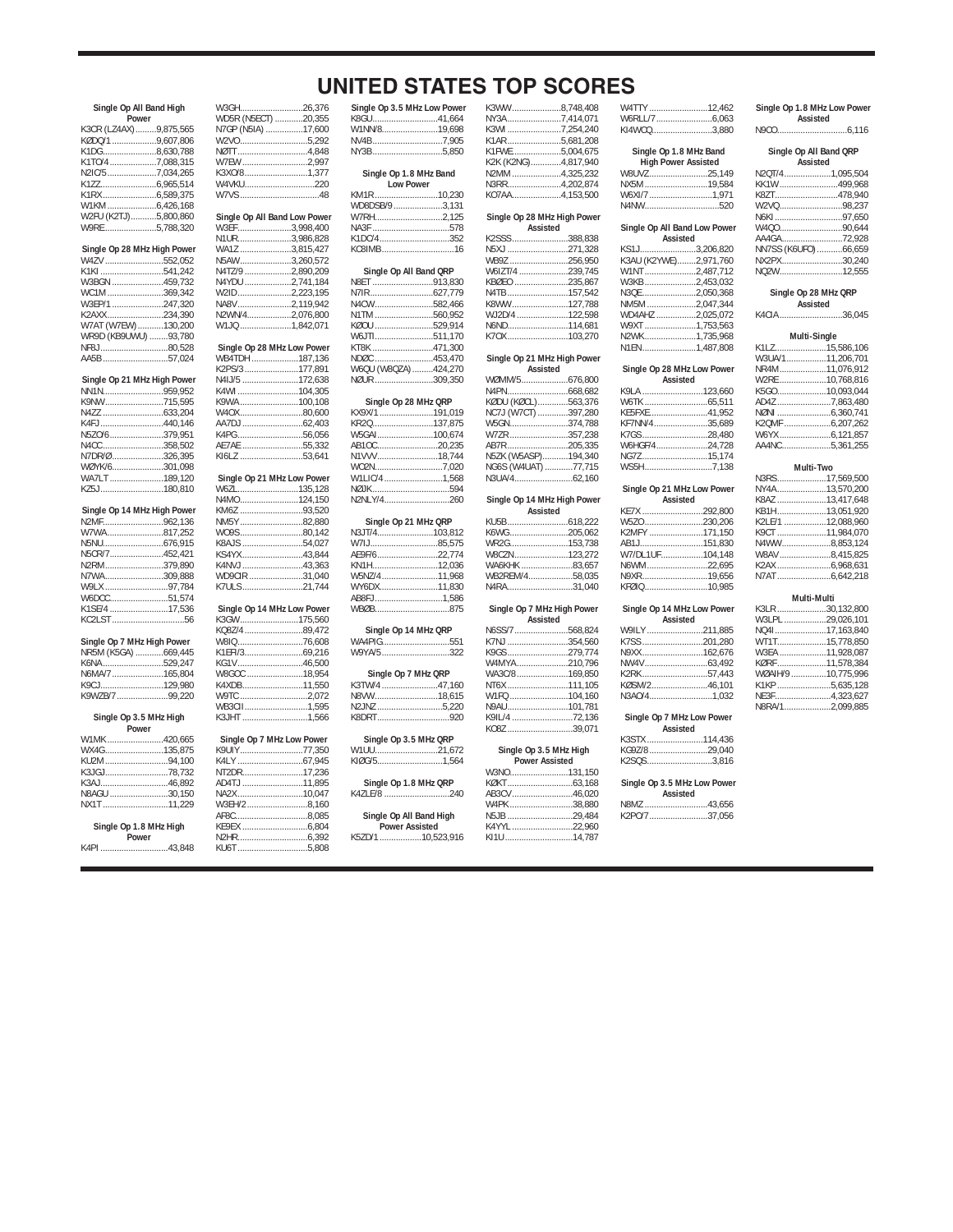|  |  |  | <b>UNITED STATES TOP SCORES</b> |
|--|--|--|---------------------------------|
|--|--|--|---------------------------------|

| Single Op All Band High<br>Power | W3GH<br>WD5R (N5ECT    |
|----------------------------------|------------------------|
| K3CR (LZ4AX) 9,875,565           | N7GP (N5IA)            |
| KØDQ/1 9,607,806                 | W2VO                   |
| K1DG8,630,788                    | <b>NØTT</b>            |
| K1TO/4 7,088,315                 | <b>W7EW</b>            |
| N2IC/57,034,265                  | K3XO/8                 |
|                                  | W4VKU                  |
| K1RX6,589,375                    | W7VS                   |
|                                  |                        |
| W2FU (K2TJ)5,800,860             | Single Op All I        |
| W9RE 5,788,320                   | W3EF                   |
|                                  | N1UR                   |
| Single Op 28 MHz High Power      | <b>WA1Z</b>            |
| W4ZV 552,052                     | N5AW                   |
| K1KI541,242                      | N4TZ/9                 |
| W3BGN 459,732                    | N4YDU                  |
| WC1M369.342                      | W2ID                   |
| W3EP/1 247,320                   | NA8V                   |
| K2AXX234,390                     | N2WN/4                 |
| W7AT (W7EW) 130,200              | W1JQ                   |
| WR9D (KB9UWU) 93,780             |                        |
| NF8J80,528                       | Single Op 28           |
| AA5B 57,024                      | <b>WB4TDH</b>          |
|                                  | K2PS/3                 |
| Single Op 21 MHz High Power      | N4IJ/5                 |
| NN1N959,952                      | K4WI                   |
| K9NW715,595                      | K9WA                   |
|                                  | W40X                   |
| K4FJ440,146                      | AA7DJ                  |
| N5ZO/6379,951                    | K4PG                   |
| N4CC358,502                      | AE7AE                  |
| N7DR/Ø 326,395                   | KI6LZ                  |
| WØYK/6301,098                    |                        |
| WA7LT 189,120                    | Single Op 21           |
|                                  |                        |
| KZ5J180,810                      | W6ZL                   |
|                                  | N4MO                   |
| Single Op 14 MHz High Power      | KM6Z                   |
| N2MF962,136                      | NM5Y                   |
| W7WA817.252                      | W09S                   |
| N5NU676,915                      | K8AJS                  |
| N5CR/7452,421                    | KS4YX                  |
| N2RM379,890                      | K4NVJ                  |
| N7WA309,888                      | WD9CIR                 |
| W9LX 97,784                      | K7ULS                  |
| W6DCC51,574                      |                        |
| K1SE/4 17,536                    | Single Op 14           |
| KC2LST56                         | K3GW                   |
|                                  | KQ8Z/4                 |
| Single Op 7 MHz High Power       | W8IQ                   |
| NR5M (K5GA) 669,445              | K1EFI/3                |
| K6NA529,247                      | KG1V                   |
| N6MA/7 165,804                   | W8GOC                  |
| K9CJ129,980                      | K4XDB                  |
| K9WZB/7 99,220                   | W9TC                   |
|                                  | <b>WB3CII</b>          |
| Single Op 3.5 MHz High           | K3JHT                  |
| Power<br>W1MK 420,665            |                        |
|                                  | Single Op 7 M<br>K9UIY |
| WX4G135,875<br>KU2M94,100        | K4LY                   |
| K3JGJ78,732                      | NT2DR                  |
|                                  | AD4TJ                  |
| K3AJ46,892                       |                        |
| N8AGU 30,150<br>NX1T11,229       | NA2X<br>W3EH/2         |
|                                  | AF8C                   |
| Single Op 1.8 MHz High           | KE9EX                  |
| Power<br>K4PI 43,848             | N2HR<br>KU6T           |

|                                               | N      |
|-----------------------------------------------|--------|
| W3GH26,376<br>WD5R (N5ECT) 20,355             |        |
|                                               | K      |
| N7GP (N5IA) 17,600                            | V      |
|                                               | N      |
|                                               | N      |
| W7EW 2,997                                    |        |
| K3XO/81,377<br>W4VKU220                       |        |
|                                               | K      |
|                                               | V      |
| Single Op All Band Low Power<br>W3EF3,998,400 | V      |
|                                               | Ń      |
| N1UR3,986,828                                 | K      |
|                                               | K      |
|                                               |        |
|                                               | Ń      |
| W2ID2,223,195                                 | N      |
| NA8V2,119,942                                 | N      |
| N2WN/42,076,800                               | N      |
| W1JQ 1,842,071                                | K      |
|                                               | V      |
| Single Op 28 MHz Low Power<br>WB4TDH 187,136  | K      |
|                                               | N      |
| K2PS/3 177,891<br>N4IJ/5 172,638              | V<br>Ν |
| K4WI 104,305                                  |        |
| K9WA100,108                                   |        |
| W4OX80,600                                    | K      |
| AA7DJ 62,403                                  | K      |
| K4PG56,056                                    | V      |
| AE7AE 55,332                                  | A      |
| KI6LZ 53,641                                  | N      |
| Single Op 21 MHz Low Power                    | V<br>V |
| W6ZL135,128                                   | N      |
| N4MO124<br>150                                | Ν      |
|                                               |        |
|                                               |        |
|                                               | N      |
|                                               | V      |
|                                               | A      |
| K4NVJ 43,363<br>WD9CIR 31,040                 | K<br>V |
| K7ULS21,744                                   | V      |
|                                               | Α      |
| Single Op 14 MHz Low Power                    | V      |
| K3GW175,560                                   |        |
| KQ8Z/4 89,472                                 |        |
| W8IQ 76,608                                   | V      |
| K1EFI/369,216                                 | V      |
| KG1V 46,500<br>W8GOC 18,954                   |        |
| K4XDB11,550                                   | K      |
| W9TC 2,072                                    | N      |
| WB3CII1,595                                   | N      |
| K3JHT 1,566                                   | K      |
|                                               |        |
| Single Op 7 MHz Low Power                     | V      |
|                                               | K      |
| NT2DR17,236                                   |        |
| AD4TJ 11,895                                  |        |
|                                               | K      |
|                                               |        |
| АF8С8,085<br>КЕ9ЕХ 6,804                      |        |
|                                               | K      |
| KU6T 5,808                                    |        |
|                                               |        |
|                                               |        |
|                                               |        |

| Single Op 3.5 MHz Low Power | K3WW8,748,408                          |  |
|-----------------------------|----------------------------------------|--|
| K8GU41,664                  | NY3A7,414,071                          |  |
| W1NN/819,698                | K3WI 7,254,240                         |  |
| NV4B7,905                   | K1AR5,681,208                          |  |
| NY3B5,850                   | K1FWE5,004,675                         |  |
|                             | K2K (K2NG)4,817,940                    |  |
| Single Op 1.8 MHz Band      | N2MM4,325,232                          |  |
| <b>Low Power</b>            | N3RR4,202,874                          |  |
| KM1R 10,230                 | KO7AA4,153,500                         |  |
| WD8DSB/9 3,131              |                                        |  |
| W7RH2,125                   | Single Op 28 MHz High Power            |  |
| NA3F 578                    | Assisted                               |  |
| K1DC/4352                   | K2SSS388,838                           |  |
| KC8IMB16                    | N5XJ 271,328                           |  |
|                             | WB9Z 256,950                           |  |
| Single Op All Band QRP      | W6IZT/4 239,745                        |  |
| N8ET 913,830                | KBØEO 235,867                          |  |
| N7IR 627,779                | N4TB157,542                            |  |
| N4CW582,466                 | K8WW127,788                            |  |
| N1TM 560,952                | WJ2D/4 122,598                         |  |
| KØOU 529,914                | N6ND114,681                            |  |
| W6JTI511,170                | K7OX103,270                            |  |
| KT8K 471,300                |                                        |  |
| NDØC 453,470                | Single Op 21 MHz High Power            |  |
| W6QU (W8QZA) 424,270        | Assisted                               |  |
| NØUR 309,350                | WØMM/5676,800                          |  |
|                             |                                        |  |
| Single Op 28 MHz QRP        | KØDU (KØCL)563,376                     |  |
| KX9X/1 191,019              | NC7J (W7CT) 397,280                    |  |
| KR2Q137,875                 | W5GN374,788<br>W7ZR357,238             |  |
| W5GAI100,674<br>AB1OC20,235 |                                        |  |
|                             | AB7R205,335                            |  |
| N1VVV18,744                 | N5ZK (W5ASP)194,340                    |  |
| WO2N7,020<br>W1LIC/4 1,568  | NG6S (W4UAT) 77,715                    |  |
|                             |                                        |  |
|                             |                                        |  |
| NØJK 594                    |                                        |  |
| N2NLY/4260                  | Single Op 14 MHz High Power            |  |
|                             | Assisted                               |  |
| Single Op 21 MHz QRP        |                                        |  |
| N3JT/4103,812               | K6WG205,062                            |  |
| W7IJ85,575                  | WR2G153,738                            |  |
| AE9F/622,774                | W8CZN123,272                           |  |
| KN1H12,036                  | WA6KHK 83,657<br>WB2REM/458,035        |  |
| W5NZ/411,968                |                                        |  |
| WY6DX11,830                 | N4RA31,040                             |  |
| AB8FJ1,586<br>WBØB875       |                                        |  |
|                             | Single Op 7 MHz High Power<br>Assisted |  |
| Single Op 14 MHz QRP        | N6SS/7 568,824                         |  |
| WA4PIG551                   | K7NJ 354,560                           |  |
| W9YA/5 322                  | K9GS279,774                            |  |
|                             | W4MYA210,796                           |  |
| Single Op 7 MHz QRP         | WA3C/8169,850                          |  |
| K3TW/4 47,160               | NT6X 111,105                           |  |
| N8VW18,615                  | W1FQ 104,160                           |  |
| N2JNZ 5,220                 | N9AU101,781                            |  |
| K8DRT920                    | K9IL/4 72,136                          |  |
|                             | KO8Z 39,071                            |  |
| Single Op 3.5 MHz QRP       |                                        |  |
| 21,67221                    | Single Op 3.5 MHz High                 |  |
| KIØG/51,564                 | <b>Power Assisted</b>                  |  |
|                             | W3NO131,150                            |  |
| Single Op 1.8 MHz QRP       |                                        |  |
| K4ZLE/8 240                 | AB3CV46,020                            |  |
|                             | W4PK38,880                             |  |
| Single Op All Band High     | N5JB 29,484                            |  |
| <b>Power Assisted</b>       | K4YYL 22,960                           |  |
| K5ZD/1 10,523,916           | KI1U14,787                             |  |

| r                                              | K3WW8,748,408                            |  |
|------------------------------------------------|------------------------------------------|--|
|                                                | NY3A7,414,071                            |  |
|                                                | K3WI7,254,240                            |  |
|                                                | K1AR5,681,208                            |  |
| ֖֚֚֚֡֝<br>֚֚֚֚                                 | K1FWE5,004,675                           |  |
|                                                | K2K (K2NG)4,817,940                      |  |
|                                                |                                          |  |
|                                                | N2MM4,325,232                            |  |
|                                                | N3RR4,202,874                            |  |
|                                                | KO7AA4,153,500                           |  |
|                                                |                                          |  |
|                                                | Single Op 28 MHz High Power              |  |
|                                                | Assisted                                 |  |
|                                                | K2SSS388,838                             |  |
|                                                | N5XJ 271,328                             |  |
|                                                | WB9Z 256,950                             |  |
|                                                | W6IZT/4 239,745                          |  |
|                                                | KBØEO 235,867                            |  |
| ֖֚֚֚֬                                          |                                          |  |
|                                                | N4TB157,542                              |  |
| ֧֧֖֖֖֚֚֚֚֚֚֝֝֬֝<br>֧֖֧֚֚֚֚֚֚֝֝֝ <u>֚</u><br>֧֡ | K8WW127,788                              |  |
|                                                | WJ2D/4 122,598                           |  |
|                                                | N6ND114,681                              |  |
|                                                | K70X 103,270                             |  |
|                                                |                                          |  |
|                                                | Single Op 21 MHz High Power              |  |
|                                                | Assisted                                 |  |
| l                                              | WØMM/5676,800                            |  |
|                                                |                                          |  |
|                                                |                                          |  |
|                                                | KØDU (KØCL)563,376<br>NC7J (W7CT)397,280 |  |
|                                                |                                          |  |
| $\overline{\phantom{a}}$                       | W5GN374,788                              |  |
|                                                | W7ZR357,238                              |  |
|                                                | AB7R205,335<br>N5ZK (W5ASP)194,340       |  |
| י<br>י                                         |                                          |  |
|                                                | NG6S (W4UAT) 77,715                      |  |
| ׇ֘֒                                            |                                          |  |
|                                                |                                          |  |
|                                                | Single Op 14 MHz High Power              |  |
|                                                | Assisted                                 |  |
|                                                |                                          |  |
|                                                | K6WG205,062                              |  |
|                                                | WR2G153,738                              |  |
|                                                |                                          |  |
|                                                | W8CZN123,272                             |  |
|                                                | WA6KHK 83.657                            |  |
|                                                | WB2REM/458,035                           |  |
|                                                | N4RA31,040                               |  |
|                                                |                                          |  |
|                                                | Single Op 7 MHz High Power               |  |
|                                                | Assisted                                 |  |
|                                                | N6SS/7568,824                            |  |
|                                                | K7NJ 354,560                             |  |
|                                                | K9GS279,774                              |  |
|                                                | W4MYA210,796                             |  |
|                                                | WA3C/8169,850                            |  |
| l                                              | NT6X 111,105                             |  |
|                                                |                                          |  |
|                                                | W1FQ 104,160                             |  |
|                                                | N9AU101,781                              |  |
|                                                | K9IL/4 72,136                            |  |
|                                                | KO8Z 39,071                              |  |
|                                                |                                          |  |
|                                                | Single Op 3.5 MHz High                   |  |
|                                                | <b>Power Assisted</b>                    |  |
|                                                | W3NO131,150                              |  |
|                                                |                                          |  |
|                                                | AB3CV46,020                              |  |
|                                                |                                          |  |
|                                                |                                          |  |
|                                                | W4PK38,880                               |  |
|                                                | N5JB 29,484<br>K4YYL                     |  |

|          | /E5,004,675             | Single Op 1.8 MHz Band       |  |
|----------|-------------------------|------------------------------|--|
|          | K2NG)4,817,940          | <b>High Power Assisted</b>   |  |
|          | A 4,325,232             |                              |  |
|          |                         | W8UVZ25,149                  |  |
|          |                         | NX5M 19,584                  |  |
|          | A4,153,500              | W6XI/7 1,971                 |  |
|          |                         | N4NW520                      |  |
|          |                         |                              |  |
|          | e Op 28 MHz High Power  |                              |  |
| Assisted |                         | Single Op All Band Low Power |  |
|          | S 388,838               | Assisted                     |  |
|          |                         |                              |  |
|          | 271,328                 | KS1J3,206,820                |  |
|          | Z 256,950               | K3AU (K2YWE)2,971,760        |  |
|          | T/4 239,745             | W1NT2,487,712                |  |
|          |                         |                              |  |
|          | 0235,867                | W3KB 2,453,032               |  |
|          |                         | N3QE 2,050,368               |  |
|          | N 127,788               | NM5M 2,047,344               |  |
|          | 0/4122,598              | WD4AHZ 2,025,072             |  |
|          |                         |                              |  |
|          | 114,681                 | W9XT 1,753,563               |  |
|          |                         | N2WK1,735,968                |  |
|          |                         | N1EN1,487,808                |  |
|          |                         |                              |  |
|          | le Op 21 MHz High Power |                              |  |
| Assisted |                         | Single Op 28 MHz Low Power   |  |
|          | M/5676,800              | Assisted                     |  |
|          |                         | K9LA 123,660                 |  |
|          |                         |                              |  |
|          | J (KØCL)563,376         | W6TK 65,511                  |  |
|          | (W7CT) 397,280          | KE5FXE41,952                 |  |
|          |                         | KF7NN/435,689                |  |
|          | 2357,238                | K7GS28,480                   |  |
|          |                         |                              |  |
|          | 205,335                 | W6HGF/424,728                |  |
|          | (W5ASP)194,340          | NG7Z15,174                   |  |
|          | (W4UAT) 77,715          | WS5H7,138                    |  |
|          |                         |                              |  |
|          |                         |                              |  |
|          |                         | Single Op 21 MHz Low Power   |  |
|          | le Op 14 MHz High Power | Assisted                     |  |
| Assisted |                         | KE7X 292,800                 |  |
|          |                         |                              |  |
|          | $\ldots$                | W5ZO 230,206                 |  |
|          | 3205,062                | K2MFY 171,150                |  |
|          |                         | AB1J151,830                  |  |
|          | ZN123,272               | W7/DL1UF104,148              |  |
|          |                         |                              |  |
|          | (HK 83,657              | N6WM22,695                   |  |
|          | REM/458,035             | N9XR19,656                   |  |
|          | $\cdots$ 31,040         | KFØIQ10,985                  |  |
|          |                         |                              |  |
|          |                         |                              |  |
|          | le Op 7 MHz High Power  | Single Op 14 MHz Low Power   |  |
| Assisted |                         | Assisted                     |  |
|          |                         | W9ILY 211,885                |  |
|          |                         |                              |  |
|          |                         | K7SS 201,280                 |  |
|          |                         | N9XX162,676                  |  |
|          | YA 210,796              |                              |  |
|          | .78169,850              | K2RK57,443                   |  |
|          |                         |                              |  |
|          | 111,105                 | KØSM/246,101                 |  |
|          | 0104,160                | N3AO/41,032                  |  |
|          | l……………………101,781        |                              |  |
|          |                         |                              |  |
|          | 4 72,136                | Single Op 7 MHz Low Power    |  |
|          | 39,071                  | Assisted                     |  |
|          |                         | K3STX 114,436                |  |
|          | ngle Op 3.5 MHz High    | KG9Z/8 29,040                |  |
|          |                         |                              |  |
|          |                         |                              |  |
|          | <b>Power Assisted</b>   | K2SQS3,816                   |  |
|          | 0131,150                |                              |  |
|          |                         |                              |  |
|          |                         | Single Op 3.5 MHz Low Power  |  |
|          | V46,020                 | Assisted                     |  |
|          |                         | N8MZ 43,656                  |  |
|          |                         | K2PO/737,056                 |  |

| W4TTY 12,462<br>W6RLL/7 6.063<br>KI4WCQ3.880                        |  |
|---------------------------------------------------------------------|--|
| Single Op 1.8 MHz Band<br><b>High Power Assisted</b><br>W8UVZ25.149 |  |

| 19,584             | KK1W 499.968            |  |
|--------------------|-------------------------|--|
|                    | K8ZT478,940             |  |
|                    | W2VQ98.237              |  |
|                    | N6KI97,650              |  |
| All Band Low Power | W4Q090.644              |  |
| Assisted           | AA4GA72.928             |  |
| 3.206.820          | NN7SS (K6UFO)66,659     |  |
| YWE)2.971.760      | NX2PX30,240             |  |
| 2,487,712          | NO <sub>2</sub> W12.555 |  |
|                    |                         |  |

**Single Op 28 MHz QRP Assisted**

**Single Op 1.8 MHz Low Power Assisted** N9CO..............................6,116 **Single Op All Band QRP Assisted**<br>N2QT/4......................1,095,504

K4CIA ...........................36,045

| Multi-Single     |  |  |
|------------------|--|--|
| K1LZ15.586.106   |  |  |
| W3UA/111,206,701 |  |  |
| NR4M11,076,912   |  |  |
| W2RE 10.768.816  |  |  |
| K5GO10.093.044   |  |  |
| AD4Z 7,863.480   |  |  |
| NØNI 6.360.741   |  |  |
| K2QMF 6,207,262  |  |  |
|                  |  |  |
| AA4NC5,361,255   |  |  |

| Multi-Two         |  |  |  |
|-------------------|--|--|--|
| N3RS17.569.500    |  |  |  |
| NY4A13.570.200    |  |  |  |
| K8AZ 13.417.648   |  |  |  |
| KB1H13,051,920    |  |  |  |
| K2LE/1 12.088.960 |  |  |  |
| K9CT 11.984.070   |  |  |  |
| N4WW8,853,124     |  |  |  |
| W8AV8.415.825     |  |  |  |
|                   |  |  |  |
|                   |  |  |  |

#### **Multi-Multi**

| K3LR 30.132.800    |
|--------------------|
| W3LPL 29,026,101   |
| NO4117.163.840     |
| WT1T15.778.850     |
| W3EA 11.928.087    |
| KØRF 11.578.384    |
| WØAIH/9 10.775.996 |
| K1KP5.635.128      |
| NE3F4.323.627      |
| N8RA/12.099.885    |
|                    |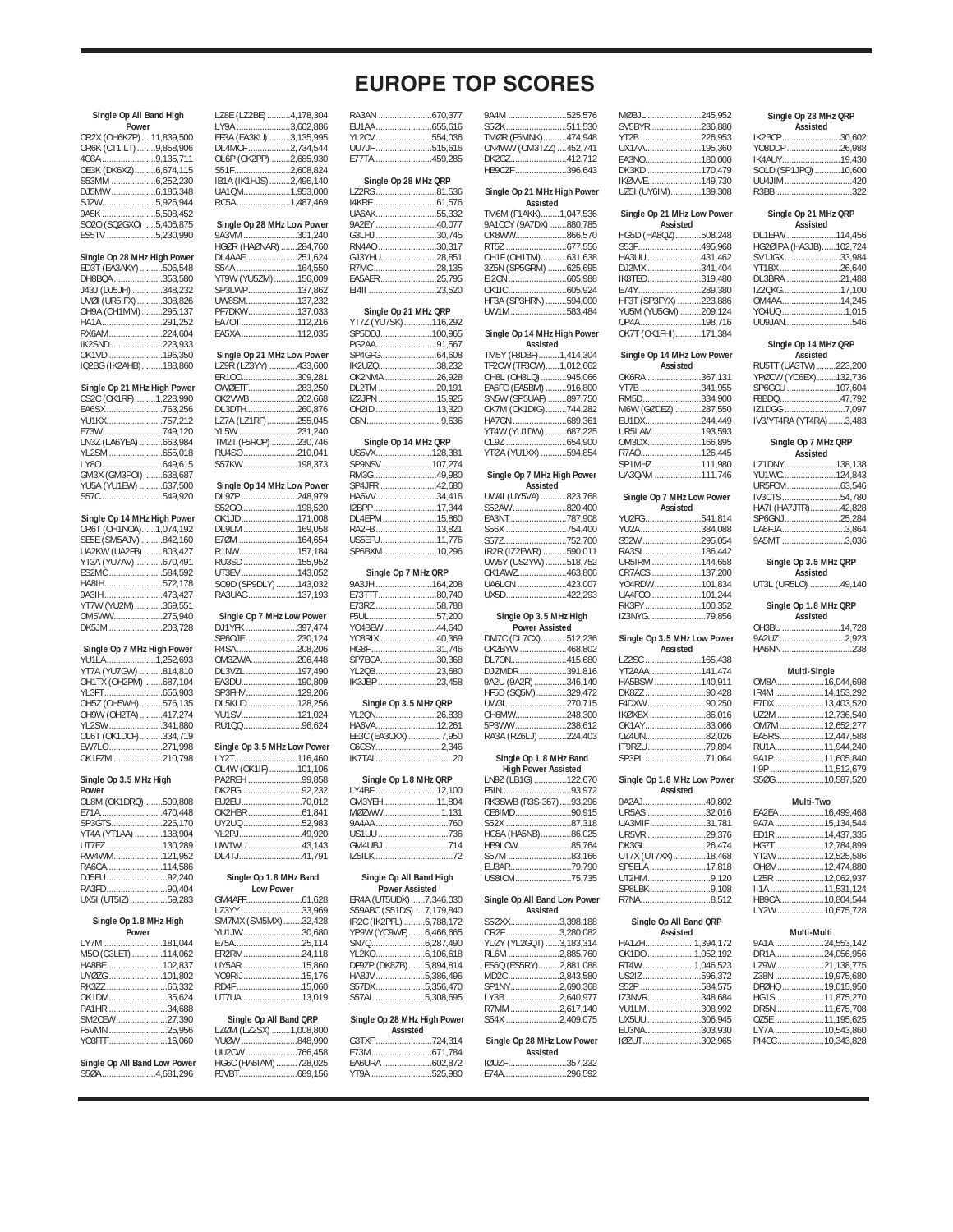| <b>EUROPE TOP SCORES</b> |  |  |
|--------------------------|--|--|
|--------------------------|--|--|

9A4M ..............................525,576<br>S50K 511.530

|                                                 | Single Op All Band High | LZ8E (LZ2BE).                |
|-------------------------------------------------|-------------------------|------------------------------|
| Power                                           |                         | LY9A<br>EF3A (EA3KU) .       |
| CR2X (OH6KZP)  11,839,500                       |                         |                              |
| CR6K (CT1ILT) 9,858,906                         |                         | DL4MCF<br>OL6P (OK2PP)       |
| 403A 9,135,711<br>OE3K (DK6XZ)6,674,115         |                         | S51F                         |
| S53MM 6,252,230                                 |                         | IB1A (IK1HJS).               |
|                                                 |                         | UA1QM                        |
| SJ2W5,926,944                                   |                         | RC5A                         |
| 9A5K 5,598,452                                  |                         |                              |
| SO2O (SQ2GXO) 5,406,875                         |                         | Single Op 28 I               |
| ES5TV 5,230,990                                 |                         | 9A3VM<br>HGØR (HAØNA         |
| Single Op 28 MHz High Power                     |                         | DL4AAE                       |
| ED3T (EA3AKY)506,548                            |                         |                              |
| DH8BQA 353,580                                  |                         | S54A<br>YT9W (YU5ZM          |
| J43J (DJ5JH) 348,232                            |                         | SP3LWP                       |
| UVØI (UR5IFX) 308,826<br>OH9A (OH1MM) 295,137   |                         | UW8SM<br>PF7DKW              |
| HA1A291,252                                     |                         | EA7OT                        |
| RX6AM 224,604                                   |                         | EA5XA                        |
| IK2SND 223,933                                  |                         |                              |
| OK1VD 196,350                                   |                         | Single Op 21 I               |
| IQ2BG (IK2AHB)188,860                           |                         | LZ9Ř (LZ3YY)                 |
| Single Op 21 MHz High Power                     |                         | ER100<br>GWØETF              |
| CS2C (OK1RF)1,228,990                           |                         | OK2VWB                       |
| EA6SX 763,256                                   |                         | DL3DTH                       |
| YU1KX757,212                                    |                         | LZ7A (LZ1RF).                |
| E73W749,120                                     |                         | YL5W                         |
| LN3Z (LA6YEA) 663,984                           |                         | TM2T (F5ROP)                 |
| YL2SM 655,018                                   |                         | RU4SO                        |
| GM3X (GM3POI) 638,687                           |                         | S57KW                        |
| YU5A (YU1EW) 637,500                            |                         | Single Op 14                 |
| S57C 549,920                                    |                         | DL9ZP                        |
|                                                 |                         | S52GO                        |
| Single Op 14 MHz High Power                     |                         | OK1JD                        |
| CR6T (OH1NOA)1,074,192<br>SE5E (SM5AJV) 842,160 |                         | DL9LM                        |
| UA2KW (UA2FB) 803,427                           |                         | E7ØM<br>R1NW                 |
| YT3A (YU7AV)670,491                             |                         | RU3SD                        |
| ES2MC 584,592                                   |                         | UT3EV                        |
| HA8IH572,178                                    |                         | SO9D (SP9DLY                 |
| 9A3IH 473,427                                   |                         | RA3UAG                       |
| YT7W (YU2M)369,551                              |                         |                              |
| OM5WW275,940<br>DK5JM 203,728                   |                         | Single Op 7 N<br>DJ1YFK      |
|                                                 |                         | SP60JE                       |
| Single Op 7 MHz High Power                      |                         | R4SA                         |
| YU1LA 1,252,693                                 |                         | OM3ZWA                       |
| YT7A (YU7GW) 814,810                            |                         | DL3VZL                       |
| OH1TX (OH2PM)687,104                            |                         | EA3DU<br>SP3FHV              |
| YL3FT656,903<br>OH5Z (OH5WH)576,135             |                         | <b>DL5KUD</b>                |
| OH9W (OH2TA) 417,274                            |                         |                              |
| YL2SW 341,880                                   |                         |                              |
|                                                 |                         | YU1SV<br>RU100               |
| OL6T (OK1DCF)334,719                            |                         |                              |
| EW7LO 271,998                                   |                         | Single Op 3.5 I              |
| OK1FZM 210,798                                  |                         | LY2T                         |
|                                                 |                         | OL4W (OK1IF)                 |
| Single Op 3.5 MHz High<br>٩ľ                    |                         | PA2REH<br>DK2FG.             |
| OL8M (OK1DRQ)509,808                            |                         | EU2EU                        |
| E71A470.448                                     |                         | <b>OK2HBR</b>                |
| SP3GTS226,170                                   |                         | UY2UQ                        |
| YT4A (YT1AA) 138,904                            |                         | YL2PJ                        |
| UT7EZ 130,289                                   |                         | UW1WU                        |
| RW4WM121,952                                    |                         | DL4TJ                        |
| RA6CA114,586<br>DJ5EU 92,240                    |                         | Single Op 1                  |
| RA3FD90,404                                     |                         | Low                          |
| UX5I (UT5IZ) 59,283                             |                         | GM4AFF                       |
|                                                 |                         | LZ3YY                        |
| Single Op 1.8 MHz High                          |                         | SM7MX (SM5M                  |
| Power<br>LY7M 181,044                           |                         | YU1JW<br>E75A                |
| M50 (G3LET) 114,062                             |                         | ER2RM                        |
| HA8BE 102,837                                   |                         | UY5AR                        |
| UYØZG 101,802                                   |                         | YO9RIJ                       |
|                                                 |                         | RD4F                         |
| OK1DM35,624                                     |                         | UT7UA                        |
| PA1HR 34,688<br>SM2CEW27,390                    |                         | Single Op A                  |
| F5VMN 25,956                                    |                         | LZØM (LZ2SX)                 |
| YO3FFF16,060                                    |                         | YUØW                         |
| Single Op All Band Low Power                    |                         | <b>UU2CW</b><br>HG6C (HA6IAN |

|                                                    |        | CUNVFI                                           |  |
|----------------------------------------------------|--------|--------------------------------------------------|--|
| LZ8E (LZ2BE) 4,178,304                             |        | RA3AN 670,377                                    |  |
| LY9A 3,602,886                                     |        |                                                  |  |
| EF3A (EA3KU) 3,135,995<br>DL4MCF 2,734,544         |        | YL2CV 554,036<br>UU7JF 515,616                   |  |
| OL6P (OK2PP) 2,685,930                             |        | E77TA459,285                                     |  |
| S51F2,608,824                                      |        |                                                  |  |
| IB1A (IK1HJS) 2,496,140<br>UA1QM1,953,000          |        | Single Op 28 MHz QRP<br>LZ2RS 81,536             |  |
| RC5A1,487,469                                      |        |                                                  |  |
|                                                    |        | UA6AK55,332                                      |  |
| Single Op 28 MHz Low Power<br>9A3VM 301,240        |        | 9A2EY 40,077<br>G3LHJ 30,745                     |  |
| HGØR (HAØNAR) 284,760                              |        | RN4AO 30,317                                     |  |
| DL4AAE 251,624                                     |        | GJ3YHU28.851                                     |  |
| S54A 164,550<br>YT9W (YU5ZM)156,009                |        | R7MC28,135<br>EA5AER25,795                       |  |
| SP3LWP137,862                                      |        | EI4II 23,520                                     |  |
| UW8SM137.232<br>PF7DKW137,033                      |        |                                                  |  |
| EA7OT 112,216                                      |        | Single Op 21 MHz QRP<br>YT7Z (YU7SK)116,292      |  |
| EA5XA 112,035                                      |        | SP5DDJ100,965                                    |  |
|                                                    |        | PG2AA91,567                                      |  |
| Single Op 21 MHz Low Power<br>LZ9R (LZ3YY) 433,600 |        | IK2UZQ38,232                                     |  |
| ER100309,281                                       |        | OK2NMA 26,928                                    |  |
| GWØETF 283,250                                     |        | DL2TM 20,191                                     |  |
| OK2VWB 262,668<br>DL3DTH260,876                    |        | IZ2JPN 15,925<br>OH2ID 13,320                    |  |
| LZ7A (LZ1RF)255,045                                |        |                                                  |  |
| YL5W 231,240                                       |        |                                                  |  |
| TM2T (F5ROP) 230,746<br>RU4SO 210,041              |        | Single Op 14 MHz QRP<br>US5VX128,381             |  |
| S57KW198,373                                       |        | SP9NSV 107.274                                   |  |
|                                                    |        | RM3G49,980                                       |  |
| Single Op 14 MHz Low Power<br>DL9ZP 248,979        |        | SP4JFR 42,680<br>HA6VV34,416                     |  |
| S52GO198,520                                       |        | I2BPP17,344                                      |  |
| OK1JD171.008                                       |        | DL4EPM15,860                                     |  |
| DL9LM 169,058<br>E7ØM 164,654                      |        | RA2FB 13,821<br>US5EFU11,776                     |  |
| R1NW157,184                                        |        | SP6BXM10,296                                     |  |
| RU3SD 155,952                                      |        |                                                  |  |
| UT3EV 143,052<br>SO9D (SP9DLY) 143,032             |        | Single Op 7 MHz QRP<br>9A3JH 164,208             |  |
| RA3UAG 137,193                                     |        | E73TTT80,740                                     |  |
|                                                    |        | E73RZ 58,788                                     |  |
| Single Op 7 MHz Low Power<br>DJ1YFK 397,474        |        | F5UL57,200<br>YO4BEW44,640                       |  |
| SP6OJE 230,124                                     |        | YO8RIX 40,369                                    |  |
| R4SA208,206                                        |        | HG8F 31,746                                      |  |
| OM3ZWA206,448<br>DL3VZL 197,490                    |        | SP7BCA30,368<br>YL2QB23,680                      |  |
| EA3DU190,809                                       |        | IK3JBP 23,458                                    |  |
| SP3FHV129,206                                      |        |                                                  |  |
| DL5KUD 128.256<br>YU1SV121,024                     |        | Single Op 3.5 MHz QRP<br>YL2QN26,838             |  |
| RU100 96,624                                       |        | HA6VA12,261                                      |  |
|                                                    |        | EE3C (EA3CKX) 7,950                              |  |
| Single Op 3.5 MHz Low Power<br>LY2T116,460         |        | G6CSY2,346                                       |  |
| OL4W (OK1IF)101,106                                |        |                                                  |  |
| PA2REH.                                            | 99,858 | Single Op 1.8 MHz QRP                            |  |
| DK2FG92,232<br>EU2EU 70,012                        |        | LY4BF12,100<br>GM3YEH11,804                      |  |
| OK2HBR61,841                                       |        | MØZWW1,131                                       |  |
| UY2UQ 52,983                                       |        |                                                  |  |
| YL2PJ49,920<br>UW1WU43,143                         |        | US1UU 736<br>GM4UBJ714                           |  |
| DL4TJ41,791                                        |        | IZ5ILK 72                                        |  |
|                                                    |        |                                                  |  |
| Single Op 1.8 MHz Band<br>Low Power                |        | Single Op All Band High<br><b>Power Assisted</b> |  |
| GM4AFF61,628                                       |        | ER4A (UT5UDX) 7,346,030                          |  |
| LZ3YY 33,969                                       |        | S59ABC (S51DS) 7,179,840                         |  |
| SM7MX (SM5MX)32,428<br>YU1JW30,680                 |        | IR2C (IK2PFL) 6,788,172<br>YP9W (YO9WF)6,466,665 |  |
| E75A25,114                                         |        | SN7Q6,287,490                                    |  |
| ER2RM24,118                                        |        | YL2KO6,106,618                                   |  |
| UY5AR 15,860<br>YO9RIJ15,176                       |        | DF9ZP (DK8ZB) 5,894,814<br>HA8JV 5,386,496       |  |
| RD4F 15,060                                        |        | S57DX5,356,470                                   |  |
| UT7UA13,019<br>Single Op All Band QRP              |        | S57AL 5,308,695<br>Single Op 28 MHz High Powe    |  |
| LZØM (LZ2SX) 1,008,800                             |        | Assisted                                         |  |
| YUØW 848,990                                       |        | G3TXF 724,314                                    |  |
| UU2CW 766,458<br>HG6C (HA6IAM) 728,025             |        |                                                  |  |
| F5VBT689,156                                       |        | YT9A 525,980                                     |  |
|                                                    |        |                                                  |  |
|                                                    |        |                                                  |  |
|                                                    |        |                                                  |  |

|                  |                     | S5ØK511,530                 |  |
|------------------|---------------------|-----------------------------|--|
|                  | 655,616<br>554,036  | TMØR (F5MNK)474,948         |  |
|                  | 515,616             | ON4WW (OM3TZZ) 452,741      |  |
|                  |                     |                             |  |
|                  | 459,285             | DK2GZ412,712                |  |
|                  |                     | HB9CZF 396,643              |  |
| e Op 28 MHz QRP  |                     |                             |  |
|                  | 81,536              | Single Op 21 MHz High Powe  |  |
|                  |                     | Assisted                    |  |
|                  |                     |                             |  |
|                  | 55,332              | TM6M (F1AKK)1,047,536       |  |
|                  | 40,077              | 9A1CCY (9A7DX) 880,785      |  |
|                  | 30,745              | OK8WW866,570                |  |
|                  |                     |                             |  |
|                  | 30,317              | RT5Z 677,556                |  |
|                  |                     | OH1F (OH1TM)631,638         |  |
|                  |                     | 3Z5N (SP5GRM) 625,695       |  |
|                  | 25,795              |                             |  |
|                  |                     |                             |  |
|                  | 23,520              | OK1IC605,924                |  |
|                  |                     | HF3A (SP3HRN)594,000        |  |
| e Op 21 MHz QRP  |                     | UW1M583,484                 |  |
|                  | 7SK)116,292         |                             |  |
|                  |                     |                             |  |
|                  |                     | Single Op 14 MHz High Powe  |  |
|                  | 91,567              | Assisted                    |  |
|                  |                     | TM5Y (F8DBF)1,414,304       |  |
|                  | 38,232              | TF2CW (TF3CW)1,012,662      |  |
|                  |                     |                             |  |
|                  | 26,928<br>20,191    | OH8L (OH8LQ) 945,066        |  |
|                  |                     | EA6FO (EA5BM) 916,800       |  |
|                  | 15,925              | SN5W (SP5UAF) 897,750       |  |
|                  |                     |                             |  |
|                  | 13,320              | OK7M (OK1DIG)744,282        |  |
|                  |                     | HA7GN 689,361               |  |
|                  |                     | YT4W (YU1DW) 687,225        |  |
| e Op 14 MHz QRP  |                     |                             |  |
|                  |                     |                             |  |
|                  | 128,381             | YTØA (YU1XX) 594,854        |  |
|                  |                     |                             |  |
|                  | 49,980              | Single Op 7 MHz High Power  |  |
|                  | 42,680              | Assisted                    |  |
|                  |                     |                             |  |
|                  | 34,416              | UW4I (UY5VA) 823,768        |  |
|                  | 17,344              | S52AW 820,400               |  |
|                  | 15,860              | EA3NT 787,908               |  |
|                  |                     |                             |  |
|                  | 13,821              | S56X 754,400                |  |
|                  | 11,776              | S57Z752,700                 |  |
|                  |                     | IR2R (IZ2EWR) 590,011       |  |
|                  |                     | UW5Y (US2YW) 518,752        |  |
|                  |                     |                             |  |
| le Op 7 MHz QRP  |                     | OK1AWZ463,806               |  |
|                  | 164,208             | UA6LCN 423,007              |  |
|                  | 80,740              | UX5D422,293                 |  |
|                  | 58,788              |                             |  |
|                  |                     |                             |  |
|                  | 57,200              | Single Op 3.5 MHz High      |  |
|                  |                     |                             |  |
|                  | 44,640              | <b>Power Assisted</b>       |  |
|                  |                     |                             |  |
|                  | 40,369              | DM7C (DL7CX)512,236         |  |
|                  | 31,746              | OK2BYW 468,802              |  |
|                  | 30,368              | DL7ON415,680                |  |
|                  | 23,680              | DJØMDR 391,816              |  |
|                  |                     |                             |  |
|                  | 23,458              | 9A2U (9A2R) 346,140         |  |
|                  |                     | HF5D (SQ5M)329,472          |  |
| e Op 3.5 MHz QRP |                     | UW3L 270,715                |  |
|                  |                     | OH6MW248,300                |  |
|                  | 26,838              |                             |  |
|                  | 12,261              | 5P3WW238,612                |  |
|                  | 3CKX) 7,950         | RA3A (RZ6LJ) 224,403        |  |
|                  | 2,346               |                             |  |
|                  |                     | Single Op 1.8 MHz Band      |  |
|                  |                     |                             |  |
|                  |                     | <b>High Power Assisted</b>  |  |
| e Op 1.8 MHz QRP |                     | LN9Z (LB1G) 122,670         |  |
|                  | 12,100              | F5IN93,972                  |  |
|                  | 11,804              | RK3SWB (R3S-367)93,296      |  |
|                  |                     |                             |  |
|                  | 1,131               | OE6IMD90,915                |  |
|                  |                     | S52X 87,318                 |  |
|                  | 736                 | HG5A (HA5NB)86,025          |  |
|                  | 714                 | HB9LCW85,764                |  |
|                  |                     |                             |  |
|                  |                     | S57M 83,166                 |  |
|                  |                     | EU3AR79,790                 |  |
|                  | Op All Band High    | US8ICM75,735                |  |
|                  |                     |                             |  |
| ower Assisted    |                     |                             |  |
|                  | 5UDX) 7,346,030     | Single Op All Band Low Powe |  |
|                  | S51DS) 7,179,840    | Assisted                    |  |
|                  | PFL) 6,788,172!     | S50XX3,398,188              |  |
|                  | 09WF)6,466,665      |                             |  |
|                  |                     | OR2F 3,280,082              |  |
|                  |                     | YLØY (YL2GQT) 3,183,314     |  |
|                  |                     | RL6M 2,885,760              |  |
|                  | K8ZB)5,894,814      | ES6Q (ES5RY)2,881,088       |  |
|                  |                     |                             |  |
|                  | 5,386,496           | MD2C 2,843,580              |  |
|                  | 5,356,470           | SP1NY2,690,368              |  |
|                  | 5,308,695           | LY3B 2,640,977              |  |
|                  |                     | R7MM2,617,140               |  |
|                  |                     |                             |  |
|                  | p 28 MHz High Power | S54X 2,409,075              |  |
| Assisted         |                     |                             |  |
|                  | 124,314             | Single Op 28 MHz Low Power  |  |
|                  |                     | Assisted                    |  |
|                  | 671,784             |                             |  |
|                  |                     | IØUZF 357,232               |  |
|                  | 525,980             | E74A296,592                 |  |
|                  |                     |                             |  |

| TMØR (F5MNK)474,948                                  | YT2B 226,953                            |         |
|------------------------------------------------------|-----------------------------------------|---------|
| ON4WW (OM3TZZ) 452,741                               | UX1AA195,360                            |         |
| DK2GZ412,712                                         | EA3NO180,000                            |         |
|                                                      |                                         |         |
| HB9CZF 396,643                                       | DK3KD 170,479                           |         |
|                                                      | IKØVVE149,730                           |         |
| Single Op 21 MHz High Power                          | UZ5I (UY6IM)139,308                     |         |
| Assisted                                             |                                         |         |
| TM6M (F1AKK)1,047,536                                | Single Op 21 MHz Low Power              |         |
| 9A1CCY (9A7DX) 880,785                               | Assisted                                |         |
| OK8WW866,570                                         | HG5D (HA8QZ)508,248                     |         |
| RT5Z 677,556                                         | S53F495,968                             |         |
|                                                      |                                         |         |
| OH1F (OH1TM)631,638                                  | HA3UU 431,462                           |         |
| 3Z5N (SP5GRM) 625,695                                | DJ2MX 341,404                           |         |
| EI2CN 605,988                                        | IK8TEO 319,480                          |         |
|                                                      | E74Y289,380                             |         |
| HF3A (SP3HRN) 594,000                                | HF3T (SP3FYX) 223,886                   |         |
| UW1M583,484                                          | YU5M (YU5GM) 209,124                    |         |
|                                                      | OP4A198,716                             |         |
| Single Op 14 MHz High Power                          | OK7T (OK1FHI)171,384                    |         |
| Assisted                                             |                                         |         |
| TM5Y (F8DBF)1,414,304                                |                                         |         |
|                                                      | Single Op 14 MHz Low Power              |         |
| TF2CW (TF3CW)1,012,662                               | Assisted                                |         |
| OH8L (OH8LQ) 945,066                                 | OK6RA 367,131                           |         |
| EA6FO (EA5BM) 916,800                                | YT7B 341,955                            |         |
| SN5W (SP5UAF) 897,750                                | RM5D334,900                             |         |
| OK7M (OK1DIG)744,282                                 | M6W (GØDEZ) 287,550                     |         |
|                                                      | EU1DX244,449                            |         |
| YT4W (YU1DW) 687,225                                 | UR5LAM193,593                           |         |
|                                                      | OM3DX166,895                            |         |
|                                                      |                                         |         |
| YTØA (YU1XX) 594,854                                 | R7A0126,445                             |         |
|                                                      | SP1MHZ111,980                           |         |
| Single Op 7 MHz High Power                           | UA3QAM 111,746                          |         |
| Assisted                                             |                                         |         |
| UW4I (UY5VA) 823,768                                 | Single Op 7 MHz Low Power               |         |
| S52AW 820,400                                        | Assisted                                |         |
| EA3NT 787,908                                        | YU2FG541,814                            |         |
| S56X 754,400                                         | YU2A 384,088                            |         |
| S57Z752,700                                          | S52W 295,054                            |         |
| IR2R (IZ2EWR) 590,011                                | RA3SI186,442                            |         |
| UW5Y (US2YW) 518,752                                 | UR5IRM 144,658                          |         |
| OK1AWZ463,806                                        | CR7ACS 137,200                          |         |
|                                                      |                                         |         |
|                                                      |                                         |         |
| UA6LCN 423,007                                       | YO4RDW101,834                           |         |
| UX5D422,293                                          | UA4FCO101,244                           |         |
|                                                      | RK3FY100,352                            |         |
| Single Op 3.5 MHz High                               | IZ3NYG79,856                            |         |
| <b>Power Assisted</b>                                |                                         |         |
| DM7C (DL7CX)512,236                                  | Single Op 3.5 MHz Low Power             |         |
| OK2BYW 468,802                                       | Assisted                                |         |
| DL7ON415,680                                         | LZ2SC 165,438                           |         |
| DJØMDR 391,816                                       | YT2AAA141,474                           |         |
| 9A2U (9A2R) 346,140                                  | HA5BSW 140,911                          |         |
| HF5D (SQ5M)329,472                                   | DK8ZZ 90,428                            |         |
| UW3L 270,715                                         | F4DXW 90,250                            |         |
| OH6MW248,300                                         | IKØXBX 86,016                           |         |
|                                                      |                                         |         |
| 5P3WW238,612                                         | OK1AY83,066                             |         |
| RA3A (RZ6LJ) 224,403                                 | OZ4UN82,026                             |         |
|                                                      | IT9RZU79,894<br>SP3PL 71,064            |         |
| Single Op 1.8 MHz Band<br><b>High Power Assisted</b> |                                         |         |
|                                                      |                                         |         |
| LN9Z (LB1G) 122,670                                  | Single Op 1.8 MHz Low Power<br>Assisted |         |
| F5IN93,972                                           |                                         |         |
| RK3SWB (R3S-367)93,296                               | 9A2AJ49,802                             |         |
| OE6IMD90,915                                         | UR5AS 32,016                            |         |
| S52X 87,318                                          | UA3MIF 31.781                           |         |
| HG5A (HA5NB)86,025                                   | UR5VR 29,376                            |         |
| HB9LCW85,764                                         | DK3GI26,474                             |         |
| S57M 83,166                                          | UT7X (UT7XX)18,468                      |         |
| EU3AR79,790                                          | SP5ELA 17,818                           |         |
| US8ICM75,735                                         | UT2HM9,120                              |         |
|                                                      | SP8LBK9.108                             |         |
| Single Op All Band Low Power                         | R7NA8,512                               |         |
| Assisted<br>S50XX3,398,188                           |                                         |         |
|                                                      | Single Op All Band QRP<br>Assisted      |         |
| OR2F 3,280,082                                       |                                         |         |
| YLØY (YL2GQT) 3,183,314                              | HA1ZH1,394,172                          |         |
| RL6M 2,885,760                                       | OK1DO 1,052,192                         |         |
| ES6Q (ES5RY)2,881,088                                | RT4W1,046,523                           |         |
| MD2C2,843,580                                        | US2IZ 596,372                           |         |
| SP1NY2,690,368                                       | S52P 584,575                            |         |
| LY3B 2,640,977                                       | IZ3NVR348,684                           |         |
| R7MM2,617,140                                        | YU1LM308,992                            |         |
| S54X 2,409,075                                       | UX5UU 306.945                           |         |
| Single On 28 MHz Low Power                           | EU3NA303,930<br>1071 IT                 | 302.965 |

| $1)$ 631,638              | HA3UU 431,462                          |  |
|---------------------------|----------------------------------------|--|
| M) 625,695                | DJ2MX 341,404                          |  |
| 605,988                   | IK8TEO 319,480                         |  |
| 605,924                   | E74Y289,380                            |  |
| N) 594,000                | HF3T (SP3FYX) 223,886                  |  |
| 583,484                   | YU5M (YU5GM) 209,124                   |  |
|                           | OP4A198,716                            |  |
| <b>MHz High Power</b>     | OK7T (OK1FHI)171,384                   |  |
| sisted                    |                                        |  |
| )1,414,304<br>W)1,012,662 | Single Op 14 MHz Low Power<br>Assisted |  |
| ()945,066                 | OK6RA 367,131                          |  |
| VI) 916,800               | YT7B 341,955                           |  |
| AF) 897,750               | RM5D334,900                            |  |
| G)744,282                 | M6W (GØDEZ) 287,550                    |  |
| 689,361                   |                                        |  |
| M) 687,225                | EU1DX244,449<br>UR5LAM193,593          |  |
|                           |                                        |  |
|                           | OM3DX166,895                           |  |
| .) 594,854                | R7A0126,445                            |  |
|                           | SP1MHZ111,980                          |  |
| <b>MHz High Power</b>     | UA3QAM 111,746                         |  |
| sisted<br>.) 823,768      | Single Op 7 MHz Low Power              |  |
| 820,400                   | Assisted                               |  |
| 787,908                   | YU2FG541,814                           |  |
| 754,400                   | YU2A384,088                            |  |
| 752,700                   | S52W 295,054                           |  |
| $R)$ 590,011              | RA3SI186,442                           |  |
| W)518,752                 | UR5IRM 144,658                         |  |
|                           |                                        |  |
| 463,806                   | CR7ACS 137,200                         |  |
| 423,007                   | YO4RDW101,834                          |  |
|                           | UA4FCO101,244                          |  |
|                           | RK3FY100,352<br>IZ3NYG79,856           |  |
| 3.5 MHz High<br>Assisted  |                                        |  |
| $()$ 512,236              | Single Op 3.5 MHz Low Power            |  |
| 468,802                   | Assisted                               |  |
| 415,680                   | LZ2SC 165,438                          |  |
| 391,816                   | YT2AAA141,474                          |  |
| 346,140                   | HA5BSW 140,911                         |  |
| 329,472                   | DK8ZZ 90,428                           |  |
| 270,715                   | F4DXW 90,250                           |  |
| 248,300                   | IKØXBX 86,016                          |  |
| 238,612                   | OK1AY83,066                            |  |
| $1$ 224,403               | OZ4UN82,026                            |  |
|                           | IT9RZU79,894                           |  |
| 1.8 MHz Band              | SP3PL 71,064                           |  |
| ver Assisted              |                                        |  |
| 122,670                   | Single Op 1.8 MHz Low Power            |  |
| 93,972                    | Assisted                               |  |
| S-367)93,296              | 9A2AJ49,802                            |  |
| 90,915                    | UR5AS 32,016                           |  |
| 87,318                    | UA3MIF 31,781                          |  |
| $3)$ 86,025               | UR5VR 29,376                           |  |
| 85,764                    | DK3GI26,474                            |  |
| 83,166                    | UT7X (UT7XX)18,468                     |  |
| 79,790                    | SP5ELA 17,818                          |  |
| 75,735                    | UT2HM9,120                             |  |
|                           | SPRIRK 9 108                           |  |

| S5ØXX3,398,188             |  |  |  |
|----------------------------|--|--|--|
| OR2F 3,280,082             |  |  |  |
| YLØY (YL2GQT) 3,183,314    |  |  |  |
| RL6M 2,885,760             |  |  |  |
| ES6Q (ES5RY)2,881,088      |  |  |  |
| VID2C 2,843,580            |  |  |  |
| SP1NY2.690.368             |  |  |  |
| Y3B 2,640,977              |  |  |  |
| R7MM2,617,140              |  |  |  |
| S54X 2,409,075             |  |  |  |
|                            |  |  |  |
| Single Op 28 MHz Low Power |  |  |  |
| <b>Assisted</b>            |  |  |  |
| 0117F 357 232              |  |  |  |

|                                                       | MØBJL 245.952<br>SV5BYR 236.880<br>YT2B 226.953<br>UX1AA195.360<br>EA3NO180.000 |  |
|-------------------------------------------------------|---------------------------------------------------------------------------------|--|
| DK3KD 170.479<br>IKØVVE149.730<br>UZ5I (UY6IM)139,308 |                                                                                 |  |

|          | Single Op 21 MHz QRP |  |
|----------|----------------------|--|
| Assisted |                      |  |

R3BB.

| DL1EFW 114.456         |  |
|------------------------|--|
| HG2ØIPA (HA3JB)102,724 |  |
| SV1JGX33.984           |  |
| YT1BX 26.640           |  |
| DL3BRA 21.488          |  |
| IZ2QKG17.100           |  |
|                        |  |
| YO4UQ 1.015            |  |
|                        |  |

**Single Op 28 MHz QRP Assisted** IK2BCP..............................30,602<br>YO8DDP.........................26,988 YO8DDP .......................26,988 IK4AUY.........................19,430 SO1D (SP1JPQ) ...........10,600 UU4JIM.............................420

| Single Op 14 MHz QRP<br>Assisted |  |  |  |  |  |
|----------------------------------|--|--|--|--|--|
| RU5TT (UA3TW) 223,200            |  |  |  |  |  |
| YPØCW (YO6EX)132,736             |  |  |  |  |  |
| SP6GCU 107,604                   |  |  |  |  |  |
| F8BDO 47.792                     |  |  |  |  |  |
| IZ1DGG 7.097                     |  |  |  |  |  |
| IV3/YT4RA (YT4RA) 3,483          |  |  |  |  |  |
| Single Op 7 MHz QRP              |  |  |  |  |  |

| Assisted            |  |  |  |  |  |
|---------------------|--|--|--|--|--|
| LZ1DNY138.138       |  |  |  |  |  |
| YU1WC124.843        |  |  |  |  |  |
|                     |  |  |  |  |  |
| IV3CTS54.780        |  |  |  |  |  |
| HA7I (HA7JTR)42,828 |  |  |  |  |  |
|                     |  |  |  |  |  |
| LA6FJA3.864         |  |  |  |  |  |
| 9A5MT 3.036         |  |  |  |  |  |

**Single Op 3.5 MHz QRP Assisted**

Assisted<br>UT3L (UR5LO) ............49,140

#### **Single Op 1.8 MHz QRP**

| Assisted     |  |
|--------------|--|
| OH3BU 14.728 |  |
| 9A2UZ 2.923  |  |
|              |  |

| Multi-Single                                                                                                |  |  |  |  |  |  |
|-------------------------------------------------------------------------------------------------------------|--|--|--|--|--|--|
| OM8A16.044.698                                                                                              |  |  |  |  |  |  |
| IR4M 14.153.292                                                                                             |  |  |  |  |  |  |
| E7DX 13.403.520                                                                                             |  |  |  |  |  |  |
| UZ2M 12.736.540                                                                                             |  |  |  |  |  |  |
|                                                                                                             |  |  |  |  |  |  |
|                                                                                                             |  |  |  |  |  |  |
|                                                                                                             |  |  |  |  |  |  |
|                                                                                                             |  |  |  |  |  |  |
|                                                                                                             |  |  |  |  |  |  |
|                                                                                                             |  |  |  |  |  |  |
| OM7M12.652.277<br>EA5RS12,447,588<br>RU1A11.944.240<br>9A1P 11.605.840<br>II9P 11.512.679<br>S50G10,587,520 |  |  |  |  |  |  |

#### **Multi-Two**

| EA2EA 16.499.468 |  |
|------------------|--|
| 9A7A 15,134,544  |  |
| ED1R14.437.335   |  |
| HG7T12,784,899   |  |
| YT2W 12.525.586  |  |
| OHØV 12,474,880  |  |
| LZ5R 12.062.937  |  |
| II1A 11.531.124  |  |
| HB9CA10,804,544  |  |
| LY2W 10.675.728  |  |
|                  |  |

| Multi-Multi      |  |  |  |  |  |  |
|------------------|--|--|--|--|--|--|
| 9A1A 24.553.142  |  |  |  |  |  |  |
| DR1A24.056.956   |  |  |  |  |  |  |
| LZ9W21.138.775   |  |  |  |  |  |  |
| Z38N 19,975.680  |  |  |  |  |  |  |
| DFØHQ 19.015.950 |  |  |  |  |  |  |
| HG1S11.875.270   |  |  |  |  |  |  |
| DR5N11.675.708   |  |  |  |  |  |  |
| OZ5E 11.195.625  |  |  |  |  |  |  |
| LY7A 10,543,860  |  |  |  |  |  |  |
| PI4CC10,343,828  |  |  |  |  |  |  |

#### **Single Op All**<br>S50A......... S5ØA.......................4,681,296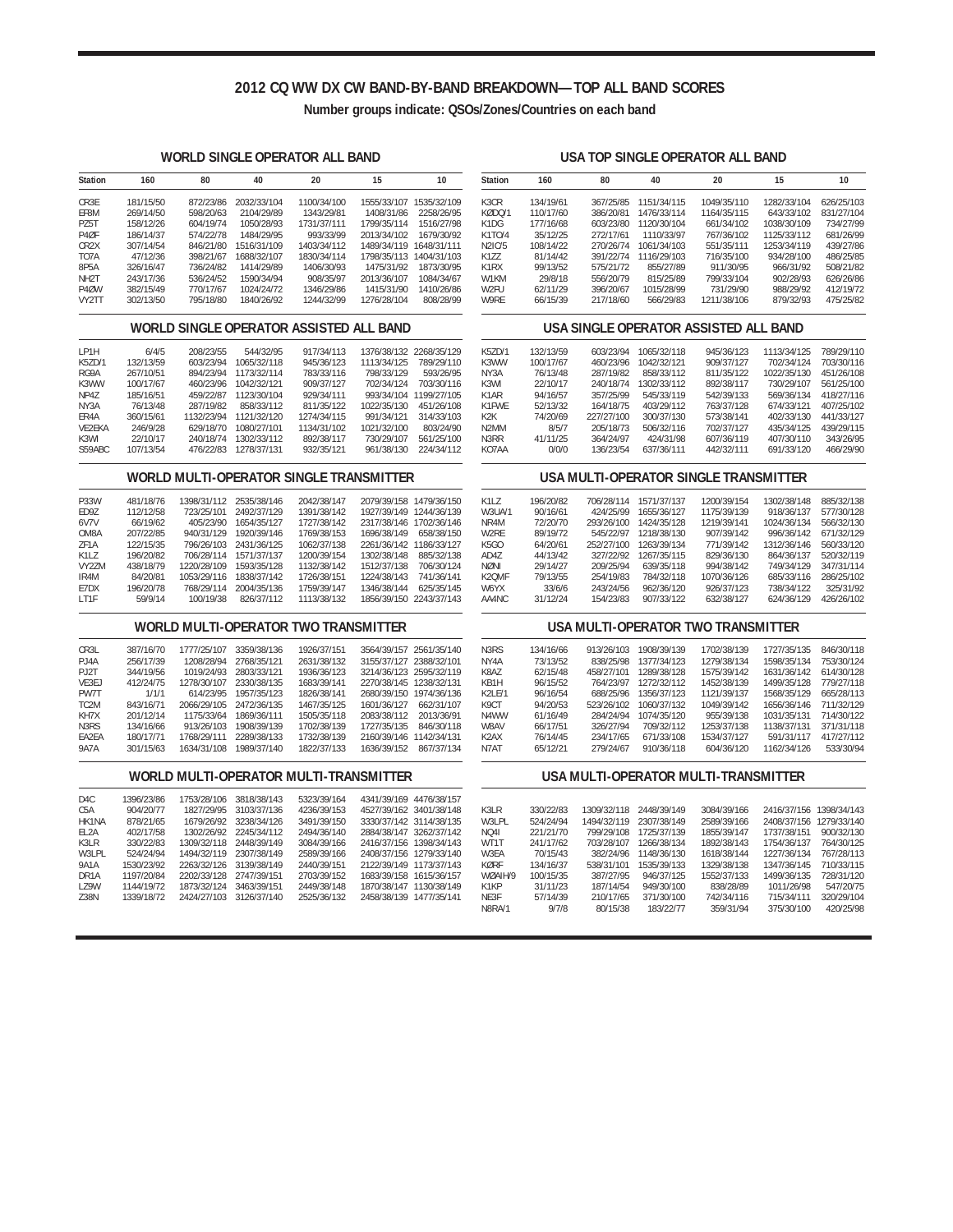## **2012 CQ WW DX CW BAND-BY-BAND BREAKDOWN—TOP ALL BAND SCORES**

**Number groups indicate: QSOs/Zones/Countries on each band**

 $\overline{\phantom{a}}$ 

### **WORLD SINGLE OPERATOR ALL BAND**

| Station           | 160       | 80        | 40          | 20          | 15          | 10          |
|-------------------|-----------|-----------|-------------|-------------|-------------|-------------|
| CR3F              | 181/15/50 | 872/23/86 | 2032/33/104 | 1100/34/100 | 1555/33/107 | 1535/32/109 |
| EF8M              | 269/14/50 | 598/20/63 | 2104/29/89  | 1343/29/81  | 1408/31/86  | 2258/26/95  |
| <b>P75T</b>       | 158/12/26 | 604/19/74 | 1050/28/93  | 1731/37/111 | 1799/35/114 | 1516/27/98  |
| P <sub>4</sub> ØF | 186/14/37 | 574/22/78 | 1484/29/95  | 993/33/99   | 2013/34/102 | 1679/30/92  |
| CR <sub>2</sub> X | 307/14/54 | 846/21/80 | 1516/31/109 | 1403/34/112 | 1489/34/119 | 1648/31/111 |
| T <sub>0</sub> 7A | 47/12/36  | 398/21/67 | 1688/32/107 | 1830/34/114 | 1798/35/113 | 1404/31/103 |
| 8P5A              | 326/16/47 | 736/24/82 | 1414/29/89  | 1406/30/93  | 1475/31/92  | 1873/30/95  |
| NH <sub>2</sub> T | 243/17/36 | 536/24/52 | 1590/34/94  | 908/35/97   | 2013/36/107 | 1084/34/67  |
| P <sub>4</sub> ØW | 382/15/49 | 770/17/67 | 1024/24/72  | 1346/29/86  | 1415/31/90  | 1410/26/86  |
| VY2TT             | 302/13/50 | 795/18/80 | 1840/26/92  | 1244/32/99  | 1276/28/104 | 808/28/99   |

#### **WORLD SINGLE OPERATOR ASSISTED ALL BAND**

| IP <sub>1</sub> H | 6/4/5     | 208/23/55  | 544/32/95   | 917/34/113  |             | 1376/38/132 2268/35/129 |
|-------------------|-----------|------------|-------------|-------------|-------------|-------------------------|
| K57D/1            | 132/13/59 | 603/23/94  | 1065/32/118 | 945/36/123  | 1113/34/125 | 789/29/110              |
| RG9A              | 267/10/51 | 894/23/94  | 1173/32/114 | 783/33/116  | 798/33/129  | 593/26/95               |
| K3WW              | 100/17/67 | 460/23/96  | 1042/32/121 | 909/37/127  | 702/34/124  | 703/30/116              |
| <b>NP47</b>       | 185/16/51 | 459/22/87  | 1123/30/104 | 929/34/111  | 993/34/104  | 1199/27/105             |
| NY3A              | 76/13/48  | 287/19/82  | 858/33/112  | 811/35/122  | 1022/35/130 | 451/26/108              |
| FR4A              | 360/15/61 | 1132/23/94 | 1121/32/120 | 1274/34/115 | 991/34/121  | 314/33/103              |
| <b>VF2FKA</b>     | 246/9/28  | 629/18/70  | 1080/27/101 | 1134/31/102 | 1021/32/100 | 803/24/90               |
| K3WI              | 22/10/17  | 240/18/74  | 1302/33/112 | 892/38/117  | 730/29/107  | 561/25/100              |
| S59ABC            | 107/13/54 | 476/22/83  | 1278/37/131 | 932/35/121  | 961/38/130  | 224/34/112              |

### **WORLD MULTI-OPERATOR SINGLE TRANSMITTER**

| <b>P33W</b> | 481/18/76 | 1398/31/112 | 2535/38/146 | 2042/38/147 |             | 2079/39/158 1479/36/150 |
|-------------|-----------|-------------|-------------|-------------|-------------|-------------------------|
| <b>FD97</b> | 112/12/58 | 723/25/101  | 2492/37/129 | 1391/38/142 |             | 1927/39/149 1244/36/139 |
| 6V7V        | 66/19/62  | 405/23/90   | 1654/35/127 | 1727/38/142 |             | 2317/38/146 1702/36/146 |
| OM8A        | 207/22/85 | 940/31/129  | 1920/39/146 | 1769/38/153 | 1696/38/149 | 658/38/150              |
| 7F1A        | 122/15/35 | 796/26/103  | 2431/36/125 | 1062/37/138 | 2261/36/142 | 1186/33/127             |
| K117        | 196/20/82 | 706/28/114  | 1571/37/137 | 1200/39/154 | 1302/38/148 | 885/32/138              |
| VY27M       | 438/18/79 | 1220/28/109 | 1593/35/128 | 1132/38/142 | 1512/37/138 | 706/30/124              |
| IR4M        | 84/20/81  | 1053/29/116 | 1838/37/142 | 1726/38/151 | 1224/38/143 | 741/36/141              |
| F7DX        | 196/20/78 | 768/29/114  | 2004/35/136 | 1759/39/147 | 1346/38/144 | 625/35/145              |
| 1T1F        | 59/9/14   | 100/19/38   | 826/37/112  | 1113/38/132 |             | 1856/39/150 2243/37/143 |
|             |           |             |             |             |             |                         |

### **WORLD MULTI-OPERATOR TWO TRANSMITTER**

| CR3L              | 387/16/70 | 1777/25/107 | 3359/38/136 | 1926/37/151 | 3564/39/157 2561/35/140 |            |
|-------------------|-----------|-------------|-------------|-------------|-------------------------|------------|
| $P.$ IAA          | 256/17/39 | 1208/28/94  | 2768/35/121 | 2631/38/132 | 3155/37/127 2388/32/101 |            |
| P.J2T             | 344/19/56 | 1019/24/93  | 2803/33/121 | 1936/36/123 | 3214/36/123 2595/32/119 |            |
| VF3FJ             | 412/24/75 | 1278/30/107 | 2330/38/135 | 1683/39/141 | 2270/38/145 1238/32/131 |            |
| PW7T              | 1/1/1     | 614/23/95   | 1957/35/123 | 1826/38/141 | 2680/39/150 1974/36/136 |            |
| TC <sub>2</sub> M | 843/16/71 | 2066/29/105 | 2472/36/135 | 1467/35/125 | 1601/36/127             | 662/31/107 |
| KH7X              | 201/12/14 | 1175/33/64  | 1869/36/111 | 1505/35/118 | 2083/38/112             | 2013/36/91 |
| N3RS              | 134/16/66 | 913/26/103  | 1908/39/139 | 1702/38/139 | 1727/35/135             | 846/30/118 |
| FA2FA             | 180/17/71 | 1768/29/111 | 2289/38/133 | 1732/38/139 | 2160/39/146 1142/34/131 |            |
| <b>9A7A</b>       | 301/15/63 | 1634/31/108 | 1989/37/140 | 1822/37/133 | 1636/39/152             | 867/37/134 |
|                   |           |             |             |             |                         |            |

#### **WORLD MULTI-OPERATOR MULTI-TRANSMITTER**

| D4C               | 1396/23/86 | 1753/28/106 | 3818/38/143 | 5323/39/164 | 4341/39/169 4476/38/157 |                         |
|-------------------|------------|-------------|-------------|-------------|-------------------------|-------------------------|
| C5A               | 904/20/77  | 1827/29/95  | 3103/37/136 | 4236/39/153 |                         | 4527/39/162 3401/38/148 |
| HK1NA             | 878/21/65  | 1679/26/92  | 3238/34/126 | 3491/39/150 | 3330/37/142 3114/38/135 |                         |
| FI <sub>2</sub> A | 402/17/58  | 1302/26/92  | 2245/34/112 | 2494/36/140 |                         | 2884/38/147 3262/37/142 |
| K3IR              | 330/22/83  | 1309/32/118 | 2448/39/149 | 3084/39/166 | 2416/37/156 1398/34/143 |                         |
| W3I PI            | 524/24/94  | 1494/32/119 | 2307/38/149 | 2589/39/166 | 2408/37/156 1279/33/140 |                         |
| <b>9A1A</b>       | 1530/23/92 | 2263/32/126 | 3139/38/149 | 2440/39/151 | 2122/39/149 1173/37/143 |                         |
| DR <sub>1</sub> A | 1197/20/84 | 2202/33/128 | 2747/39/151 | 2703/39/152 | 1683/39/158 1615/36/157 |                         |
| 179W              | 1144/19/72 | 1873/32/124 | 3463/39/151 | 2449/38/148 | 1870/38/147 1130/38/149 |                         |
| 738N              | 1339/18/72 | 2424/27/103 | 3126/37/140 | 2525/36/132 | 2458/38/139 1477/35/141 |                         |

#### **USA TOP SINGLE OPERATOR ALL BAND**

| <b>Station</b> | 160       | 80        | 40          | 20          | 15          | 10         |
|----------------|-----------|-----------|-------------|-------------|-------------|------------|
| K3CR           | 134/19/61 | 367/25/85 | 1151/34/115 | 1049/35/110 | 1282/33/104 | 626/25/103 |
| KØDO/1         | 110/17/60 | 386/20/81 | 1476/33/114 | 1164/35/115 | 643/33/102  | 831/27/104 |
| K1DG           | 177/16/68 | 603/23/80 | 1120/30/104 | 661/34/102  | 1038/30/109 | 734/27/99  |
| K1TO/4         | 35/12/25  | 272/17/61 | 1110/33/97  | 767/36/102  | 1125/33/112 | 681/26/99  |
| N2IC/5         | 108/14/22 | 270/26/74 | 1061/34/103 | 551/35/111  | 1253/34/119 | 439/27/86  |
| K177           | 81/14/42  | 391/22/74 | 1116/29/103 | 716/35/100  | 934/28/100  | 486/25/85  |
| K1RX           | 99/13/52  | 575/21/72 | 855/27/89   | 911/30/95   | 966/31/92   | 508/21/82  |
| W1KM           | 29/8/18   | 556/20/79 | 815/25/89   | 799/33/104  | 902/28/93   | 626/26/86  |
| W2FU           | 62/11/29  | 396/20/67 | 1015/28/99  | 731/29/90   | 988/29/92   | 412/19/72  |
| W9RF           | 66/15/39  | 217/18/60 | 566/29/83   | 1211/38/106 | 879/32/93   | 475/25/82  |

#### **USA SINGLE OPERATOR ASSISTED ALL BAND**

| K57D/1            | 132/13/59 | 603/23/94  | 1065/32/118 | 945/36/123 | 1113/34/125 | 789/29/110 |
|-------------------|-----------|------------|-------------|------------|-------------|------------|
| K3WW              | 100/17/67 | 460/23/96  | 1042/32/121 | 909/37/127 | 702/34/124  | 703/30/116 |
| NY3A              | 76/13/48  | 287/19/82  | 858/33/112  | 811/35/122 | 1022/35/130 | 451/26/108 |
| K3WI              | 22/10/17  | 240/18/74  | 1302/33/112 | 892/38/117 | 730/29/107  | 561/25/100 |
| K <sub>1</sub> AR | 94/16/57  | 357/25/99  | 545/33/119  | 542/39/133 | 569/36/134  | 418/27/116 |
| K1FWF             | 52/13/32  | 164/18/75  | 403/29/112  | 763/37/128 | 674/33/121  | 407/25/102 |
| K <sub>2</sub> K  | 74/20/69  | 227/27/100 | 300/37/130  | 573/38/141 | 402/33/130  | 441/33/127 |
| N <sub>2</sub> MM | 8/5/7     | 205/18/73  | 506/32/116  | 702/37/127 | 435/34/125  | 439/29/115 |
| N3RR              | 41/11/25  | 364/24/97  | 424/31/98   | 607/36/119 | 407/30/110  | 343/26/95  |
| KO7AA             | 0/0/0     | 136/23/54  | 637/36/111  | 442/32/111 | 691/33/120  | 466/29/90  |
|                   |           |            |             |            |             |            |

### **USA MULTI-OPERATOR SINGLE TRANSMITTER**

| K1I 7  | 196/20/82 | 706/28/114 | 1571/37/137 | 1200/39/154 | 1302/38/148 | 885/32/138 |
|--------|-----------|------------|-------------|-------------|-------------|------------|
| W3UA/1 | 90/16/61  | 424/25/99  | 1655/36/127 | 1175/39/139 | 918/36/137  | 577/30/128 |
| NR4M   | 72/20/70  | 293/26/100 | 1424/35/128 | 1219/39/141 | 1024/36/134 | 566/32/130 |
| W2RF   | 89/19/72  | 545/22/97  | 1218/38/130 | 907/39/142  | 996/36/142  | 671/32/129 |
| K5GO   | 64/20/61  | 252/27/100 | 1263/39/134 | 771/39/142  | 1312/36/146 | 560/33/120 |
| AD47   | 44/13/42  | 327/22/92  | 1267/35/115 | 829/36/130  | 864/36/137  | 520/32/119 |
| NØNI   | 29/14/27  | 209/25/94  | 639/35/118  | 994/38/142  | 749/34/129  | 347/31/114 |
| K20MF  | 79/13/55  | 254/19/83  | 784/32/118  | 1070/36/126 | 685/33/116  | 286/25/102 |
| W6YX   | 33/6/6    | 243/24/56  | 962/36/120  | 926/37/123  | 738/34/122  | 325/31/92  |
| AA4NC  | 31/12/24  | 154/23/83  | 907/33/122  | 632/38/127  | 624/36/129  | 426/26/102 |
|        |           |            |             |             |             |            |

### **USA MULTI-OPERATOR TWO TRANSMITTER**

| <u>UJA MULIPUF LINIUN TWO TINISIWII TEN</u> |           |            |             |             |             |            |
|---------------------------------------------|-----------|------------|-------------|-------------|-------------|------------|
| N <sub>3</sub> R <sub>S</sub>               | 134/16/66 | 913/26/103 | 1908/39/139 | 1702/38/139 | 1727/35/135 | 846/30/118 |
| NY4A                                        | 73/13/52  | 838/25/98  | 1377/34/123 | 1279/38/134 | 1598/35/134 | 753/30/124 |
| <b>K8A7</b>                                 | 62/15/48  | 458/27/101 | 1289/38/128 | 1575/39/142 | 1631/36/142 | 614/30/128 |
| KB1H                                        | 96/15/52  | 764/23/97  | 1272/32/112 | 1452/38/139 | 1499/35/128 | 779/27/118 |
| K21 F/1                                     | 96/16/54  | 688/25/96  | 1356/37/123 | 1121/39/137 | 1568/35/129 | 665/28/113 |
| K9CT                                        | 94/20/53  | 523/26/102 | 1060/37/132 | 1049/39/142 | 1656/36/146 | 711/32/129 |
| N4WW                                        | 61/16/49  | 284/24/94  | 1074/35/120 | 955/39/138  | 1031/35/131 | 714/30/122 |
| W8AV                                        | 66/17/51  | 326/27/94  | 709/32/112  | 1253/37/138 | 1138/37/131 | 371/31/118 |
| K <sub>2</sub> AX                           | 76/14/45  | 234/17/65  | 671/33/108  | 1534/37/127 | 591/31/117  | 417/27/112 |
| N7AT                                        | 65/12/21  | 279/24/67  | 910/36/118  | 604/36/120  | 1162/34/126 | 533/30/94  |

#### **USA MULTI-OPERATOR MULTI-TRANSMITTER**

| K3I R         | 330/22/83 | 1309/32/118 | 2448/39/149 | 3084/39/166 |             | 2416/37/156 1398/34/143 |
|---------------|-----------|-------------|-------------|-------------|-------------|-------------------------|
| W3I PI        | 524/24/94 | 1494/32/119 | 2307/38/149 | 2589/39/166 |             | 2408/37/156 1279/33/140 |
| NO41          | 221/21/70 | 799/29/108  | 1725/37/139 | 1855/39/147 | 1737/38/151 | 900/32/130              |
| WT1T          | 241/17/62 | 703/28/107  | 1266/38/134 | 1892/38/143 | 1754/36/137 | 764/30/125              |
| W3FA          | 70/15/43  | 382/24/96   | 1148/36/130 | 1618/38/144 | 1227/36/134 | 767/28/113              |
| KØRF          | 134/16/37 | 538/31/101  | 1535/39/133 | 1329/38/138 | 1347/36/145 | 710/33/115              |
| WØAIH/9       | 100/15/35 | 387/27/95   | 946/37/125  | 1552/37/133 | 1499/36/135 | 728/31/120              |
| K1KP          | 31/11/23  | 187/14/54   | 949/30/100  | 838/28/89   | 1011/26/98  | 547/20/75               |
| NF3F          | 57/14/39  | 210/17/65   | 371/30/100  | 742/34/116  | 715/34/111  | 320/29/104              |
| <b>N8RA/1</b> | 9/7/8     | 80/15/38    | 183/22/77   | 359/31/94   | 375/30/100  | 420/25/98               |
|               |           |             |             |             |             |                         |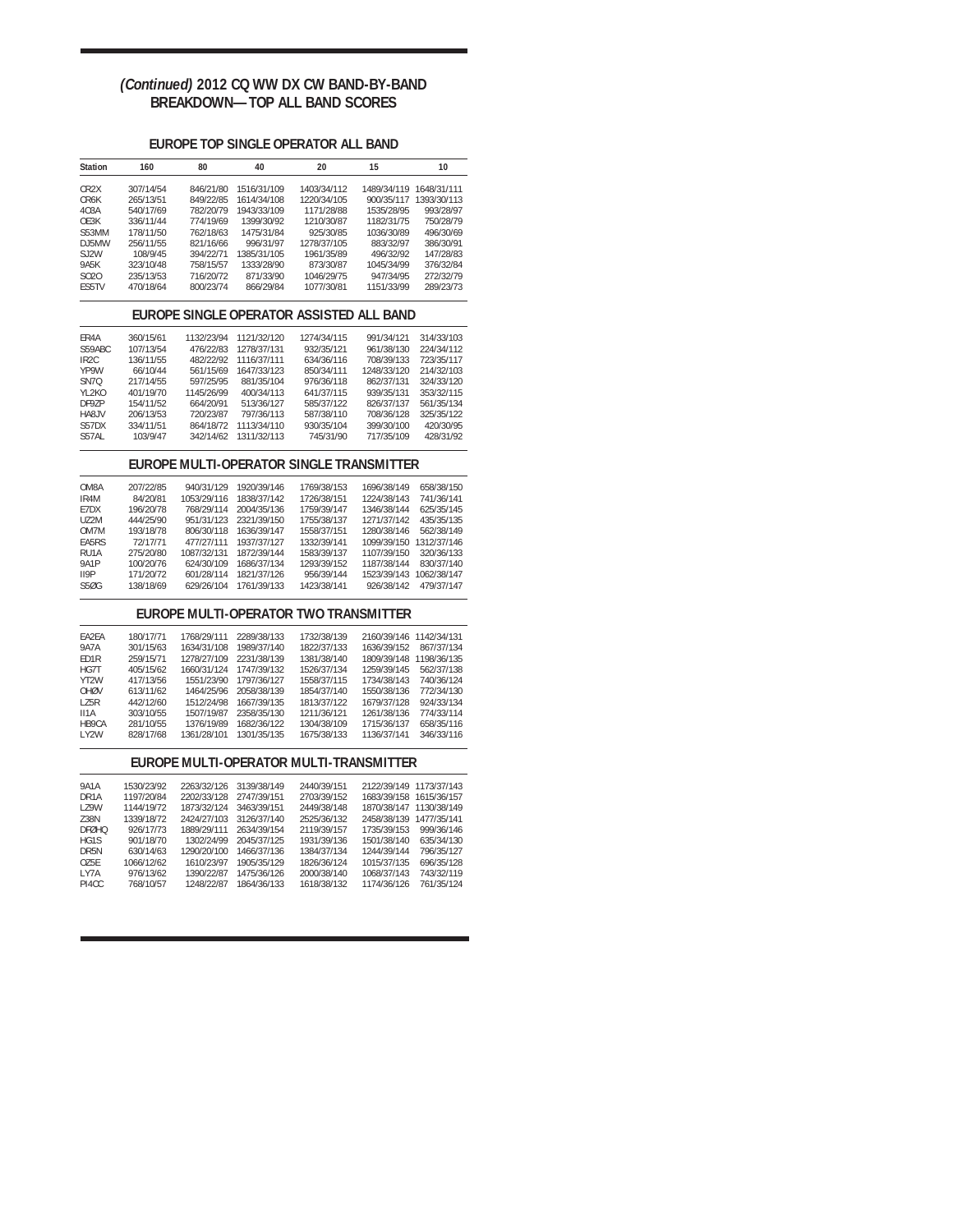## *(Continued)* **2012 CQ WW DX CW BAND-BY-BAND BREAKDOWN—TOP ALL BAND SCORES**

## **EUROPE TOP SINGLE OPERATOR ALL BAND**

| <b>Station</b>                           | 160        | 80          | 40          | 20                                       | 15          | 10          |
|------------------------------------------|------------|-------------|-------------|------------------------------------------|-------------|-------------|
| CR <sub>2</sub> X                        | 307/14/54  | 846/21/80   | 1516/31/109 | 1403/34/112                              | 1489/34/119 | 1648/31/111 |
| CR6K                                     | 265/13/51  | 849/22/85   | 1614/34/108 | 1220/34/105                              | 900/35/117  | 1393/30/113 |
| 403A                                     | 540/17/69  | 782/20/79   | 1943/33/109 | 1171/28/88                               | 1535/28/95  | 993/28/97   |
| OE3K                                     | 336/11/44  | 774/19/69   | 1399/30/92  | 1210/30/87                               | 1182/31/75  | 750/28/79   |
| S53MM                                    | 178/11/50  | 762/18/63   | 1475/31/84  | 925/30/85                                | 1036/30/89  | 496/30/69   |
|                                          |            |             |             |                                          |             |             |
| DJ5MW                                    | 256/11/55  | 821/16/66   | 996/31/97   | 1278/37/105                              | 883/32/97   | 386/30/91   |
| SJ2W                                     | 108/9/45   | 394/22/71   | 1385/31/105 | 1961/35/89                               | 496/32/92   | 147/28/83   |
| <b>9A5K</b>                              | 323/10/48  | 758/15/57   | 1333/28/90  | 873/30/87                                | 1045/34/99  | 376/32/84   |
| S020                                     | 235/13/53  | 716/20/72   | 871/33/90   | 1046/29/75                               | 947/34/95   | 272/32/79   |
| FS5TV                                    | 470/18/64  | 800/23/74   | 866/29/84   | 1077/30/81                               | 1151/33/99  | 289/23/73   |
| EUROPE SINGLE OPERATOR ASSISTED ALL BAND |            |             |             |                                          |             |             |
| ER4A                                     | 360/15/61  | 1132/23/94  | 1121/32/120 | 1274/34/115                              | 991/34/121  | 314/33/103  |
| S59ABC                                   | 107/13/54  | 476/22/83   | 1278/37/131 | 932/35/121                               | 961/38/130  | 224/34/112  |
| IR <sub>2</sub> C                        | 136/11/55  | 482/22/92   | 1116/37/111 | 634/36/116                               | 708/39/133  | 723/35/117  |
| YP9W                                     | 66/10/44   | 561/15/69   | 1647/33/123 | 850/34/111                               | 1248/33/120 | 214/32/103  |
| SN7Q                                     | 217/14/55  | 597/25/95   | 881/35/104  |                                          | 862/37/131  | 324/33/120  |
|                                          |            |             |             | 976/36/118                               |             |             |
| YL2KO                                    | 401/19/70  | 1145/26/99  | 400/34/113  | 641/37/115                               | 939/35/131  | 353/32/115  |
| DF9ZP                                    | 154/11/52  | 664/20/91   | 513/36/127  | 585/37/122                               | 826/37/137  | 561/35/134  |
| HA8JV                                    | 206/13/53  | 720/23/87   | 797/36/113  | 587/38/110                               | 708/36/128  | 325/35/122  |
| S57DX                                    | 334/11/51  | 864/18/72   | 1113/34/110 | 930/35/104                               | 399/30/100  | 420/30/95   |
| S57AL                                    | 103/9/47   | 342/14/62   | 1311/32/113 | 745/31/90                                | 717/35/109  | 428/31/92   |
|                                          |            |             |             | EUROPE MULTI-OPERATOR SINGLE TRANSMITTER |             |             |
| OM8A                                     | 207/22/85  | 940/31/129  | 1920/39/146 | 1769/38/153                              | 1696/38/149 | 658/38/150  |
| IR4M                                     | 84/20/81   | 1053/29/116 | 1838/37/142 | 1726/38/151                              | 1224/38/143 | 741/36/141  |
| E7DX                                     | 196/20/78  | 768/29/114  | 2004/35/136 | 1759/39/147                              | 1346/38/144 | 625/35/145  |
| UZ2M                                     | 444/25/90  | 951/31/123  | 2321/39/150 | 1755/38/137                              | 1271/37/142 | 435/35/135  |
| OM7M                                     | 193/18/78  | 806/30/118  | 1636/39/147 | 1558/37/151                              | 1280/38/146 | 562/38/149  |
| EA5RS                                    | 72/17/71   | 477/27/111  |             |                                          |             |             |
|                                          |            |             | 1937/37/127 | 1332/39/141                              | 1099/39/150 | 1312/37/146 |
| RU1A                                     | 275/20/80  | 1087/32/131 | 1872/39/144 | 1583/39/137                              | 1107/39/150 | 320/36/133  |
| <b>9A1P</b>                              | 100/20/76  | 624/30/109  | 1686/37/134 | 1293/39/152                              | 1187/38/144 | 830/37/140  |
| II9P                                     | 171/20/72  | 601/28/114  | 1821/37/126 | 956/39/144                               | 1523/39/143 | 1062/38/147 |
| <b>S50G</b>                              | 138/18/69  | 629/26/104  | 1761/39/133 | 1423/38/141                              | 926/38/142  | 479/37/147  |
|                                          |            |             |             | EUROPE MULTI-OPERATOR TWO TRANSMITTER    |             |             |
| EA2EA                                    | 180/17/71  | 1768/29/111 | 2289/38/133 | 1732/38/139                              | 2160/39/146 | 1142/34/131 |
| <b>9A7A</b>                              | 301/15/63  | 1634/31/108 | 1989/37/140 | 1822/37/133                              | 1636/39/152 | 867/37/134  |
| ED1R                                     | 259/15/71  | 1278/27/109 | 2231/38/139 | 1381/38/140                              | 1809/39/148 | 1198/36/135 |
| HG7T                                     | 405/15/62  | 1660/31/124 | 1747/39/132 | 1526/37/134                              | 1259/39/145 | 562/37/138  |
| YT2W                                     | 417/13/56  | 1551/23/90  | 1797/36/127 | 1558/37/115                              | 1734/38/143 | 740/36/124  |
|                                          |            |             |             |                                          |             |             |
| OHØV                                     | 613/11/62  | 1464/25/96  | 2058/38/139 | 1854/37/140                              | 1550/38/136 | 772/34/130  |
| LZ5R                                     | 442/12/60  | 1512/24/98  | 1667/39/135 | 1813/37/122                              | 1679/37/128 | 924/33/134  |
| II1A                                     | 303/10/55  | 1507/19/87  | 2358/35/130 | 1211/36/121                              | 1261/38/136 | 774/33/114  |
| HB9CA                                    | 281/10/55  | 1376/19/89  | 1682/36/122 | 1304/38/109                              | 1715/36/137 | 658/35/116  |
| LY2W                                     | 828/17/68  | 1361/28/101 | 1301/35/135 | 1675/38/133                              | 1136/37/141 | 346/33/116  |
|                                          |            |             |             | EUROPE MULTI-OPERATOR MULTI-TRANSMITTER  |             |             |
| <b>9A1A</b>                              | 1530/23/92 | 2263/32/126 | 3139/38/149 | 2440/39/151                              | 2122/39/149 | 1173/37/143 |
| DR <sub>1</sub> A                        | 1197/20/84 | 2202/33/128 | 2747/39/151 | 2703/39/152                              | 1683/39/158 | 1615/36/157 |
| LZ9W                                     | 1144/19/72 | 1873/32/124 | 3463/39/151 | 2449/38/148                              | 1870/38/147 | 1130/38/149 |
| Z38N                                     | 1339/18/72 | 2424/27/103 | 3126/37/140 | 2525/36/132                              | 2458/38/139 | 1477/35/141 |
|                                          |            |             |             |                                          |             |             |
| <b>DFØHQ</b>                             | 926/17/73  | 1889/29/111 | 2634/39/154 | 2119/39/157                              | 1735/39/153 | 999/36/146  |
| HG1S                                     | 901/18/70  | 1302/24/99  | 2045/37/125 | 1931/39/136                              | 1501/38/140 | 635/34/130  |
| DR5N                                     | 630/14/63  | 1290/20/100 | 1466/37/136 | 1384/37/134                              | 1244/39/144 | 796/35/127  |
| OZ5E                                     | 1066/12/62 | 1610/23/97  | 1905/35/129 | 1826/36/124                              | 1015/37/135 | 696/35/128  |
| LY7A                                     | 976/13/62  | 1390/22/87  | 1475/36/126 | 2000/38/140                              | 1068/37/143 | 743/32/119  |
| PI4CC                                    | 768/10/57  | 1248/22/87  | 1864/36/133 | 1618/38/132                              | 1174/36/126 | 761/35/124  |
|                                          |            |             |             |                                          |             |             |